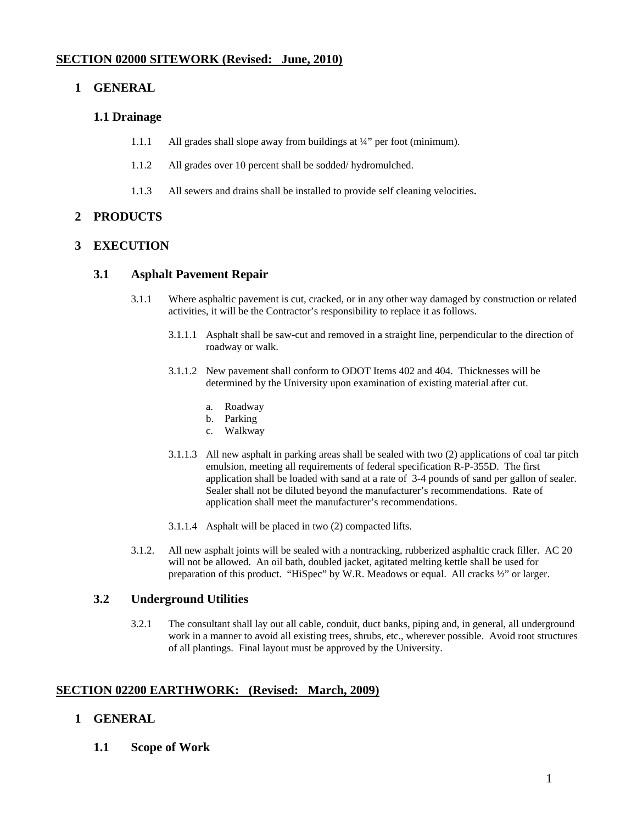# **SECTION 02000 SITEWORK (Revised: June, 2010)**

## **1 GENERAL**

#### **1.1 Drainage**

- 1.1.1 All grades shall slope away from buildings at ¼" per foot (minimum).
- 1.1.2 All grades over 10 percent shall be sodded/ hydromulched.
- 1.1.3 All sewers and drains shall be installed to provide self cleaning velocities.

## **2 PRODUCTS**

#### **3 EXECUTION**

### **3.1 Asphalt Pavement Repair**

- 3.1.1 Where asphaltic pavement is cut, cracked, or in any other way damaged by construction or related activities, it will be the Contractor's responsibility to replace it as follows.
	- 3.1.1.1 Asphalt shall be saw-cut and removed in a straight line, perpendicular to the direction of roadway or walk.
	- 3.1.1.2 New pavement shall conform to ODOT Items 402 and 404. Thicknesses will be determined by the University upon examination of existing material after cut.
		- a. Roadway
		- b. Parking
		- c. Walkway
	- 3.1.1.3 All new asphalt in parking areas shall be sealed with two (2) applications of coal tar pitch emulsion, meeting all requirements of federal specification R-P-355D. The first application shall be loaded with sand at a rate of 3-4 pounds of sand per gallon of sealer. Sealer shall not be diluted beyond the manufacturer's recommendations. Rate of application shall meet the manufacturer's recommendations.
	- 3.1.1.4 Asphalt will be placed in two (2) compacted lifts.
- 3.1.2. All new asphalt joints will be sealed with a nontracking, rubberized asphaltic crack filler. AC 20 will not be allowed. An oil bath, doubled jacket, agitated melting kettle shall be used for preparation of this product. "HiSpec" by W.R. Meadows or equal. All cracks ½" or larger.

#### **3.2 Underground Utilities**

3.2.1 The consultant shall lay out all cable, conduit, duct banks, piping and, in general, all underground work in a manner to avoid all existing trees, shrubs, etc., wherever possible. Avoid root structures of all plantings. Final layout must be approved by the University.

#### **SECTION 02200 EARTHWORK: (Revised: March, 2009)**

#### **1 GENERAL**

**1.1 Scope of Work**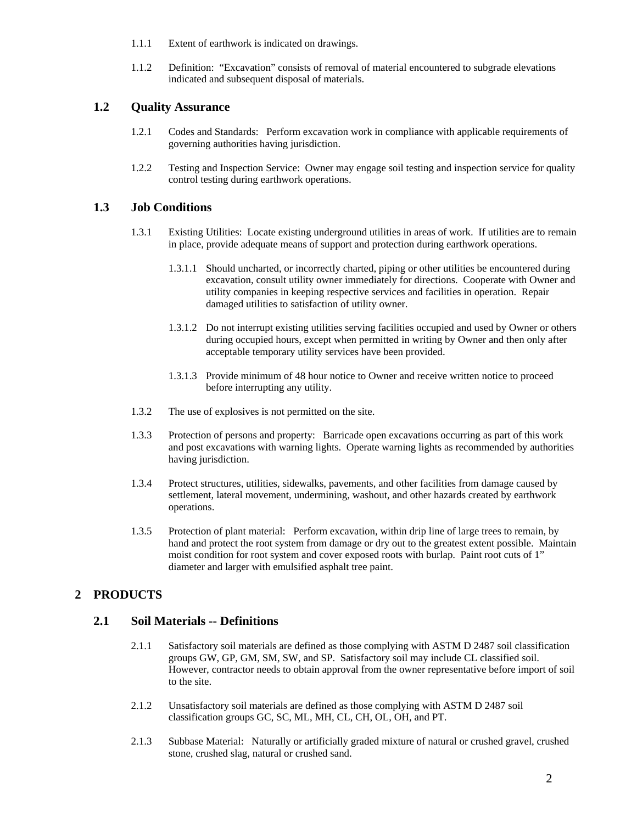- 1.1.1 Extent of earthwork is indicated on drawings.
- 1.1.2 Definition: "Excavation" consists of removal of material encountered to subgrade elevations indicated and subsequent disposal of materials.

#### **1.2 Quality Assurance**

- 1.2.1 Codes and Standards: Perform excavation work in compliance with applicable requirements of governing authorities having jurisdiction.
- 1.2.2 Testing and Inspection Service: Owner may engage soil testing and inspection service for quality control testing during earthwork operations.

## **1.3 Job Conditions**

- 1.3.1 Existing Utilities: Locate existing underground utilities in areas of work. If utilities are to remain in place, provide adequate means of support and protection during earthwork operations.
	- 1.3.1.1 Should uncharted, or incorrectly charted, piping or other utilities be encountered during excavation, consult utility owner immediately for directions. Cooperate with Owner and utility companies in keeping respective services and facilities in operation. Repair damaged utilities to satisfaction of utility owner.
	- 1.3.1.2 Do not interrupt existing utilities serving facilities occupied and used by Owner or others during occupied hours, except when permitted in writing by Owner and then only after acceptable temporary utility services have been provided.
	- 1.3.1.3 Provide minimum of 48 hour notice to Owner and receive written notice to proceed before interrupting any utility.
- 1.3.2 The use of explosives is not permitted on the site.
- 1.3.3 Protection of persons and property: Barricade open excavations occurring as part of this work and post excavations with warning lights. Operate warning lights as recommended by authorities having jurisdiction.
- 1.3.4 Protect structures, utilities, sidewalks, pavements, and other facilities from damage caused by settlement, lateral movement, undermining, washout, and other hazards created by earthwork operations.
- 1.3.5 Protection of plant material: Perform excavation, within drip line of large trees to remain, by hand and protect the root system from damage or dry out to the greatest extent possible. Maintain moist condition for root system and cover exposed roots with burlap. Paint root cuts of 1" diameter and larger with emulsified asphalt tree paint.

# **2 PRODUCTS**

#### **2.1 Soil Materials -- Definitions**

- 2.1.1 Satisfactory soil materials are defined as those complying with ASTM D 2487 soil classification groups GW, GP, GM, SM, SW, and SP. Satisfactory soil may include CL classified soil. However, contractor needs to obtain approval from the owner representative before import of soil to the site.
- 2.1.2 Unsatisfactory soil materials are defined as those complying with ASTM D 2487 soil classification groups GC, SC, ML, MH, CL, CH, OL, OH, and PT.
- 2.1.3 Subbase Material: Naturally or artificially graded mixture of natural or crushed gravel, crushed stone, crushed slag, natural or crushed sand.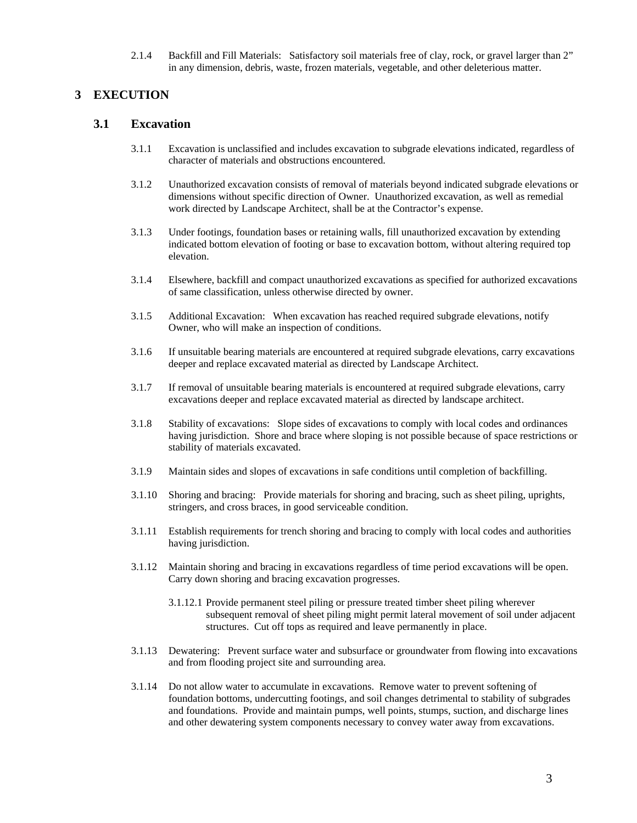2.1.4 Backfill and Fill Materials: Satisfactory soil materials free of clay, rock, or gravel larger than 2" in any dimension, debris, waste, frozen materials, vegetable, and other deleterious matter.

# **3 EXECUTION**

#### **3.1 Excavation**

- 3.1.1 Excavation is unclassified and includes excavation to subgrade elevations indicated, regardless of character of materials and obstructions encountered.
- 3.1.2 Unauthorized excavation consists of removal of materials beyond indicated subgrade elevations or dimensions without specific direction of Owner. Unauthorized excavation, as well as remedial work directed by Landscape Architect, shall be at the Contractor's expense.
- 3.1.3 Under footings, foundation bases or retaining walls, fill unauthorized excavation by extending indicated bottom elevation of footing or base to excavation bottom, without altering required top elevation.
- 3.1.4 Elsewhere, backfill and compact unauthorized excavations as specified for authorized excavations of same classification, unless otherwise directed by owner.
- 3.1.5 Additional Excavation: When excavation has reached required subgrade elevations, notify Owner, who will make an inspection of conditions.
- 3.1.6 If unsuitable bearing materials are encountered at required subgrade elevations, carry excavations deeper and replace excavated material as directed by Landscape Architect.
- 3.1.7 If removal of unsuitable bearing materials is encountered at required subgrade elevations, carry excavations deeper and replace excavated material as directed by landscape architect.
- 3.1.8 Stability of excavations: Slope sides of excavations to comply with local codes and ordinances having jurisdiction. Shore and brace where sloping is not possible because of space restrictions or stability of materials excavated.
- 3.1.9 Maintain sides and slopes of excavations in safe conditions until completion of backfilling.
- 3.1.10 Shoring and bracing: Provide materials for shoring and bracing, such as sheet piling, uprights, stringers, and cross braces, in good serviceable condition.
- 3.1.11 Establish requirements for trench shoring and bracing to comply with local codes and authorities having jurisdiction.
- 3.1.12 Maintain shoring and bracing in excavations regardless of time period excavations will be open. Carry down shoring and bracing excavation progresses.
	- 3.1.12.1 Provide permanent steel piling or pressure treated timber sheet piling wherever subsequent removal of sheet piling might permit lateral movement of soil under adjacent structures. Cut off tops as required and leave permanently in place.
- 3.1.13 Dewatering: Prevent surface water and subsurface or groundwater from flowing into excavations and from flooding project site and surrounding area.
- 3.1.14 Do not allow water to accumulate in excavations. Remove water to prevent softening of foundation bottoms, undercutting footings, and soil changes detrimental to stability of subgrades and foundations. Provide and maintain pumps, well points, stumps, suction, and discharge lines and other dewatering system components necessary to convey water away from excavations.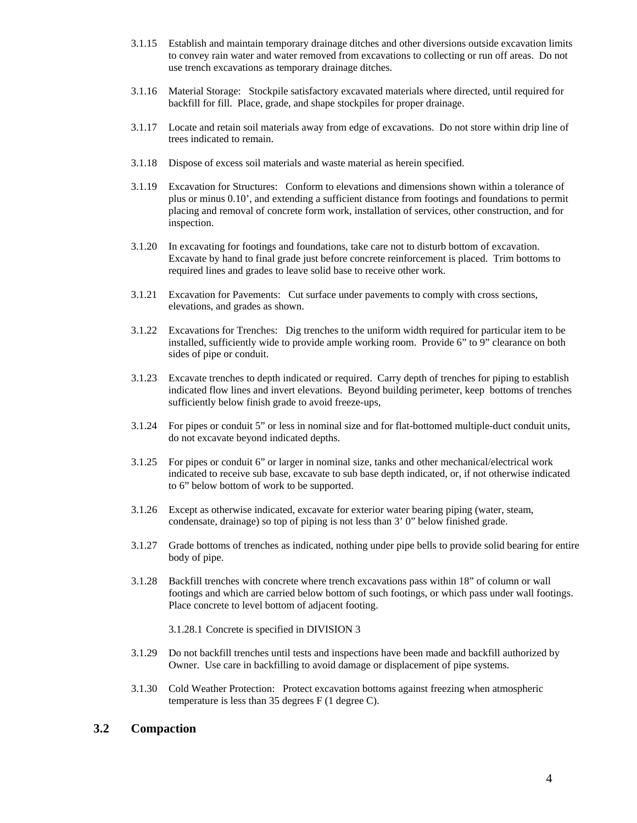- 3.1.15 Establish and maintain temporary drainage ditches and other diversions outside excavation limits to convey rain water and water removed from excavations to collecting or run off areas. Do not use trench excavations as temporary drainage ditches.
- 3.1.16 Material Storage: Stockpile satisfactory excavated materials where directed, until required for backfill for fill. Place, grade, and shape stockpiles for proper drainage.
- 3.1.17 Locate and retain soil materials away from edge of excavations. Do not store within drip line of trees indicated to remain.
- 3.1.18 Dispose of excess soil materials and waste material as herein specified.
- 3.1.19 Excavation for Structures: Conform to elevations and dimensions shown within a tolerance of plus or minus 0.10', and extending a sufficient distance from footings and foundations to permit placing and removal of concrete form work, installation of services, other construction, and for inspection.
- 3.1.20 In excavating for footings and foundations, take care not to disturb bottom of excavation. Excavate by hand to final grade just before concrete reinforcement is placed. Trim bottoms to required lines and grades to leave solid base to receive other work.
- 3.1.21 Excavation for Pavements: Cut surface under pavements to comply with cross sections, elevations, and grades as shown.
- 3.1.22 Excavations for Trenches: Dig trenches to the uniform width required for particular item to be installed, sufficiently wide to provide ample working room. Provide 6" to 9" clearance on both sides of pipe or conduit.
- 3.1.23 Excavate trenches to depth indicated or required. Carry depth of trenches for piping to establish indicated flow lines and invert elevations. Beyond building perimeter, keep bottoms of trenches sufficiently below finish grade to avoid freeze-ups,
- 3.1.24 For pipes or conduit 5" or less in nominal size and for flat-bottomed multiple-duct conduit units, do not excavate beyond indicated depths.
- 3.1.25 For pipes or conduit 6" or larger in nominal size, tanks and other mechanical/electrical work indicated to receive sub base, excavate to sub base depth indicated, or, if not otherwise indicated to 6" below bottom of work to be supported.
- 3.1.26 Except as otherwise indicated, excavate for exterior water bearing piping (water, steam, condensate, drainage) so top of piping is not less than 3' 0" below finished grade.
- 3.1.27 Grade bottoms of trenches as indicated, nothing under pipe bells to provide solid bearing for entire body of pipe.
- 3.1.28 Backfill trenches with concrete where trench excavations pass within 18" of column or wall footings and which are carried below bottom of such footings, or which pass under wall footings. Place concrete to level bottom of adjacent footing.

3.1.28.1 Concrete is specified in DIVISION 3

- 3.1.29 Do not backfill trenches until tests and inspections have been made and backfill authorized by Owner. Use care in backfilling to avoid damage or displacement of pipe systems.
- 3.1.30 Cold Weather Protection: Protect excavation bottoms against freezing when atmospheric temperature is less than 35 degrees F (1 degree C).

## **3.2 Compaction**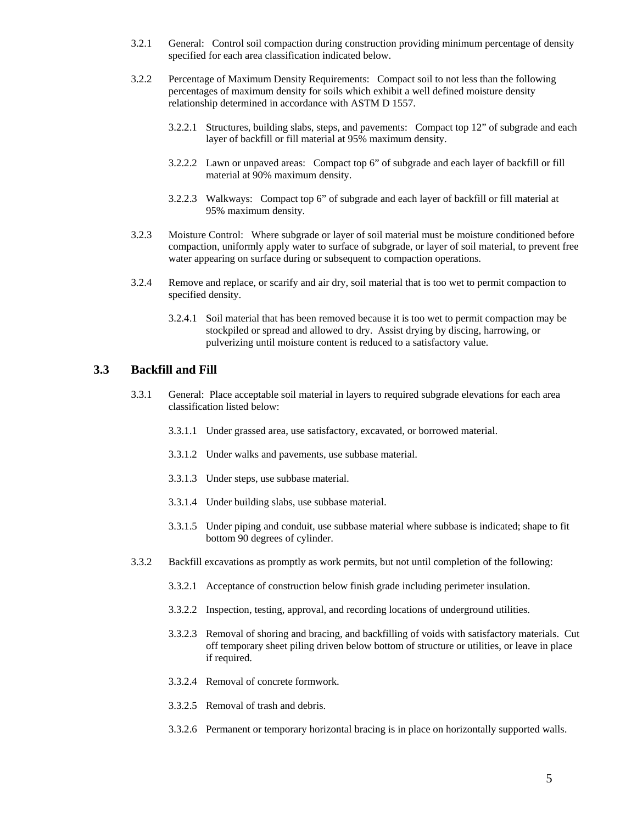- 3.2.1 General: Control soil compaction during construction providing minimum percentage of density specified for each area classification indicated below.
- 3.2.2 Percentage of Maximum Density Requirements: Compact soil to not less than the following percentages of maximum density for soils which exhibit a well defined moisture density relationship determined in accordance with ASTM D 1557.
	- 3.2.2.1 Structures, building slabs, steps, and pavements: Compact top 12" of subgrade and each layer of backfill or fill material at 95% maximum density.
	- 3.2.2.2 Lawn or unpaved areas: Compact top 6" of subgrade and each layer of backfill or fill material at 90% maximum density.
	- 3.2.2.3 Walkways: Compact top 6" of subgrade and each layer of backfill or fill material at 95% maximum density.
- 3.2.3 Moisture Control: Where subgrade or layer of soil material must be moisture conditioned before compaction, uniformly apply water to surface of subgrade, or layer of soil material, to prevent free water appearing on surface during or subsequent to compaction operations.
- 3.2.4 Remove and replace, or scarify and air dry, soil material that is too wet to permit compaction to specified density.
	- 3.2.4.1 Soil material that has been removed because it is too wet to permit compaction may be stockpiled or spread and allowed to dry. Assist drying by discing, harrowing, or pulverizing until moisture content is reduced to a satisfactory value.

#### **3.3 Backfill and Fill**

- 3.3.1 General: Place acceptable soil material in layers to required subgrade elevations for each area classification listed below:
	- 3.3.1.1 Under grassed area, use satisfactory, excavated, or borrowed material.
	- 3.3.1.2 Under walks and pavements, use subbase material.
	- 3.3.1.3 Under steps, use subbase material.
	- 3.3.1.4 Under building slabs, use subbase material.
	- 3.3.1.5 Under piping and conduit, use subbase material where subbase is indicated; shape to fit bottom 90 degrees of cylinder.
- 3.3.2 Backfill excavations as promptly as work permits, but not until completion of the following:
	- 3.3.2.1 Acceptance of construction below finish grade including perimeter insulation.
	- 3.3.2.2 Inspection, testing, approval, and recording locations of underground utilities.
	- 3.3.2.3 Removal of shoring and bracing, and backfilling of voids with satisfactory materials. Cut off temporary sheet piling driven below bottom of structure or utilities, or leave in place if required.
	- 3.3.2.4 Removal of concrete formwork.
	- 3.3.2.5 Removal of trash and debris.
	- 3.3.2.6 Permanent or temporary horizontal bracing is in place on horizontally supported walls.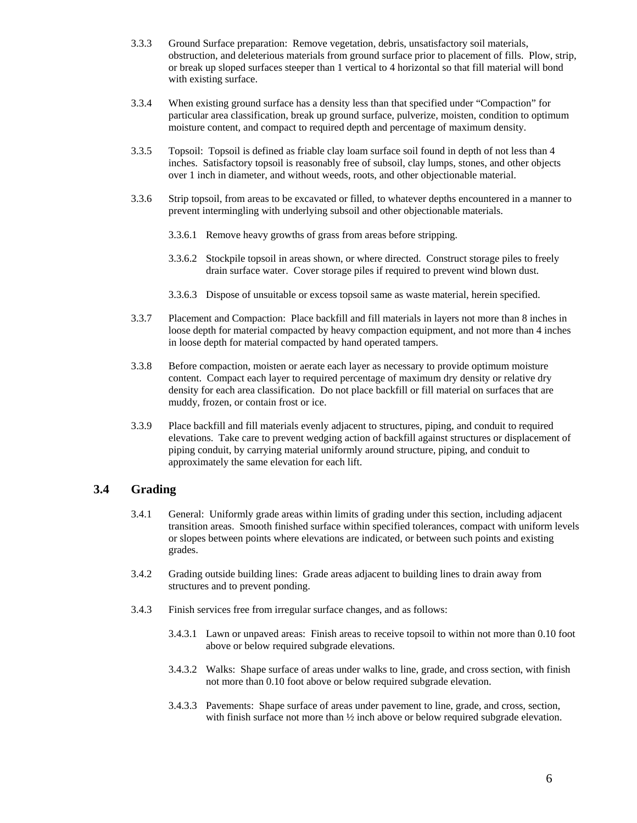- 3.3.3 Ground Surface preparation: Remove vegetation, debris, unsatisfactory soil materials, obstruction, and deleterious materials from ground surface prior to placement of fills. Plow, strip, or break up sloped surfaces steeper than 1 vertical to 4 horizontal so that fill material will bond with existing surface.
- 3.3.4 When existing ground surface has a density less than that specified under "Compaction" for particular area classification, break up ground surface, pulverize, moisten, condition to optimum moisture content, and compact to required depth and percentage of maximum density.
- 3.3.5 Topsoil: Topsoil is defined as friable clay loam surface soil found in depth of not less than 4 inches. Satisfactory topsoil is reasonably free of subsoil, clay lumps, stones, and other objects over 1 inch in diameter, and without weeds, roots, and other objectionable material.
- 3.3.6 Strip topsoil, from areas to be excavated or filled, to whatever depths encountered in a manner to prevent intermingling with underlying subsoil and other objectionable materials.
	- 3.3.6.1 Remove heavy growths of grass from areas before stripping.
	- 3.3.6.2 Stockpile topsoil in areas shown, or where directed. Construct storage piles to freely drain surface water. Cover storage piles if required to prevent wind blown dust.
	- 3.3.6.3 Dispose of unsuitable or excess topsoil same as waste material, herein specified.
- 3.3.7 Placement and Compaction: Place backfill and fill materials in layers not more than 8 inches in loose depth for material compacted by heavy compaction equipment, and not more than 4 inches in loose depth for material compacted by hand operated tampers.
- 3.3.8 Before compaction, moisten or aerate each layer as necessary to provide optimum moisture content. Compact each layer to required percentage of maximum dry density or relative dry density for each area classification. Do not place backfill or fill material on surfaces that are muddy, frozen, or contain frost or ice.
- 3.3.9 Place backfill and fill materials evenly adjacent to structures, piping, and conduit to required elevations. Take care to prevent wedging action of backfill against structures or displacement of piping conduit, by carrying material uniformly around structure, piping, and conduit to approximately the same elevation for each lift.

# **3.4 Grading**

- 3.4.1 General: Uniformly grade areas within limits of grading under this section, including adjacent transition areas. Smooth finished surface within specified tolerances, compact with uniform levels or slopes between points where elevations are indicated, or between such points and existing grades.
- 3.4.2 Grading outside building lines: Grade areas adjacent to building lines to drain away from structures and to prevent ponding.
- 3.4.3 Finish services free from irregular surface changes, and as follows:
	- 3.4.3.1 Lawn or unpaved areas: Finish areas to receive topsoil to within not more than 0.10 foot above or below required subgrade elevations.
	- 3.4.3.2 Walks: Shape surface of areas under walks to line, grade, and cross section, with finish not more than 0.10 foot above or below required subgrade elevation.
	- 3.4.3.3 Pavements: Shape surface of areas under pavement to line, grade, and cross, section, with finish surface not more than ½ inch above or below required subgrade elevation.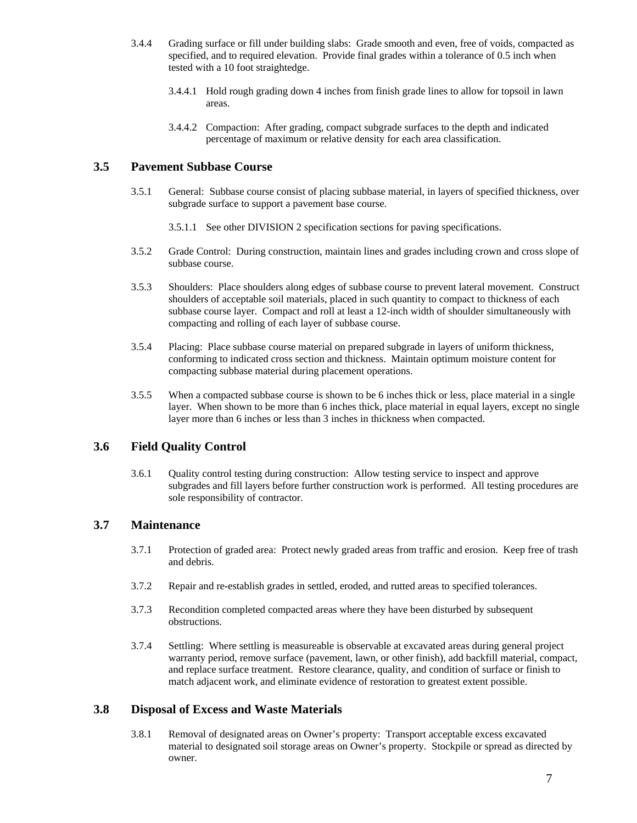- 3.4.4 Grading surface or fill under building slabs: Grade smooth and even, free of voids, compacted as specified, and to required elevation. Provide final grades within a tolerance of 0.5 inch when tested with a 10 foot straightedge.
	- 3.4.4.1 Hold rough grading down 4 inches from finish grade lines to allow for topsoil in lawn areas.
	- 3.4.4.2 Compaction: After grading, compact subgrade surfaces to the depth and indicated percentage of maximum or relative density for each area classification.

#### **3.5 Pavement Subbase Course**

- 3.5.1 General: Subbase course consist of placing subbase material, in layers of specified thickness, over subgrade surface to support a pavement base course.
	- 3.5.1.1 See other DIVISION 2 specification sections for paving specifications.
- 3.5.2 Grade Control: During construction, maintain lines and grades including crown and cross slope of subbase course.
- 3.5.3 Shoulders: Place shoulders along edges of subbase course to prevent lateral movement. Construct shoulders of acceptable soil materials, placed in such quantity to compact to thickness of each subbase course layer. Compact and roll at least a 12-inch width of shoulder simultaneously with compacting and rolling of each layer of subbase course.
- 3.5.4 Placing: Place subbase course material on prepared subgrade in layers of uniform thickness, conforming to indicated cross section and thickness. Maintain optimum moisture content for compacting subbase material during placement operations.
- 3.5.5 When a compacted subbase course is shown to be 6 inches thick or less, place material in a single layer. When shown to be more than 6 inches thick, place material in equal layers, except no single layer more than 6 inches or less than 3 inches in thickness when compacted.

#### **3.6 Field Quality Control**

3.6.1 Quality control testing during construction: Allow testing service to inspect and approve subgrades and fill layers before further construction work is performed. All testing procedures are sole responsibility of contractor.

#### **3.7 Maintenance**

- 3.7.1 Protection of graded area: Protect newly graded areas from traffic and erosion. Keep free of trash and debris.
- 3.7.2 Repair and re-establish grades in settled, eroded, and rutted areas to specified tolerances.
- 3.7.3 Recondition completed compacted areas where they have been disturbed by subsequent obstructions.
- 3.7.4 Settling: Where settling is measureable is observable at excavated areas during general project warranty period, remove surface (pavement, lawn, or other finish), add backfill material, compact, and replace surface treatment. Restore clearance, quality, and condition of surface or finish to match adjacent work, and eliminate evidence of restoration to greatest extent possible.

#### **3.8 Disposal of Excess and Waste Materials**

3.8.1 Removal of designated areas on Owner's property: Transport acceptable excess excavated material to designated soil storage areas on Owner's property. Stockpile or spread as directed by owner.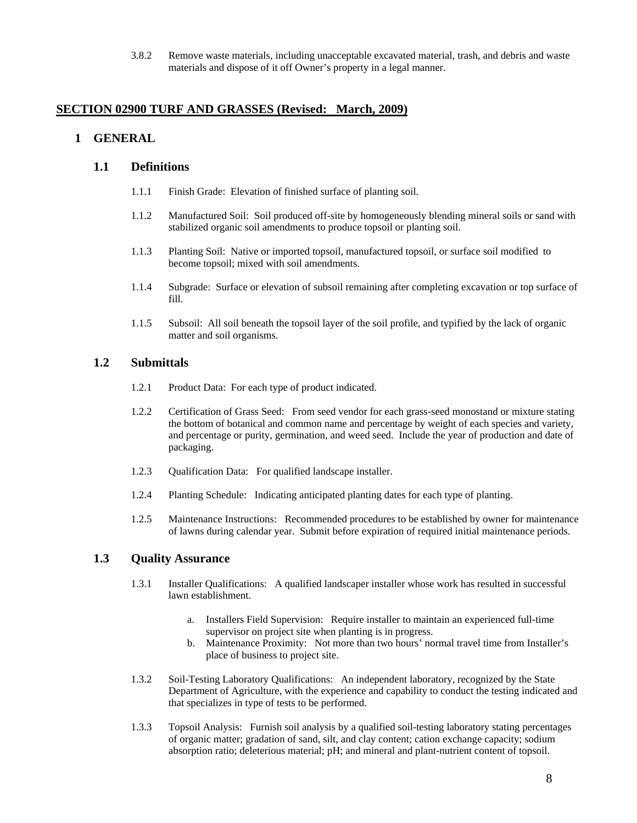3.8.2 Remove waste materials, including unacceptable excavated material, trash, and debris and waste materials and dispose of it off Owner's property in a legal manner.

#### **SECTION 02900 TURF AND GRASSES (Revised: March, 2009)**

## **1 GENERAL**

#### **1.1 Definitions**

- 1.1.1 Finish Grade: Elevation of finished surface of planting soil.
- 1.1.2 Manufactured Soil: Soil produced off-site by homogeneously blending mineral soils or sand with stabilized organic soil amendments to produce topsoil or planting soil.
- 1.1.3 Planting Soil: Native or imported topsoil, manufactured topsoil, or surface soil modified to become topsoil; mixed with soil amendments.
- 1.1.4 Subgrade: Surface or elevation of subsoil remaining after completing excavation or top surface of fill.
- 1.1.5 Subsoil: All soil beneath the topsoil layer of the soil profile, and typified by the lack of organic matter and soil organisms.

#### **1.2 Submittals**

- 1.2.1 Product Data: For each type of product indicated.
- 1.2.2 Certification of Grass Seed: From seed vendor for each grass-seed monostand or mixture stating the bottom of botanical and common name and percentage by weight of each species and variety, and percentage or purity, germination, and weed seed. Include the year of production and date of packaging.
- 1.2.3 Qualification Data: For qualified landscape installer.
- 1.2.4 Planting Schedule: Indicating anticipated planting dates for each type of planting.
- 1.2.5 Maintenance Instructions: Recommended procedures to be established by owner for maintenance of lawns during calendar year. Submit before expiration of required initial maintenance periods.

#### **1.3 Quality Assurance**

- 1.3.1 Installer Qualifications: A qualified landscaper installer whose work has resulted in successful lawn establishment.
	- a. Installers Field Supervision: Require installer to maintain an experienced full-time supervisor on project site when planting is in progress.
	- b. Maintenance Proximity: Not more than two hours' normal travel time from Installer's place of business to project site.
- 1.3.2 Soil-Testing Laboratory Qualifications: An independent laboratory, recognized by the State Department of Agriculture, with the experience and capability to conduct the testing indicated and that specializes in type of tests to be performed.
- 1.3.3 Topsoil Analysis: Furnish soil analysis by a qualified soil-testing laboratory stating percentages of organic matter; gradation of sand, silt, and clay content; cation exchange capacity; sodium absorption ratio; deleterious material; pH; and mineral and plant-nutrient content of topsoil.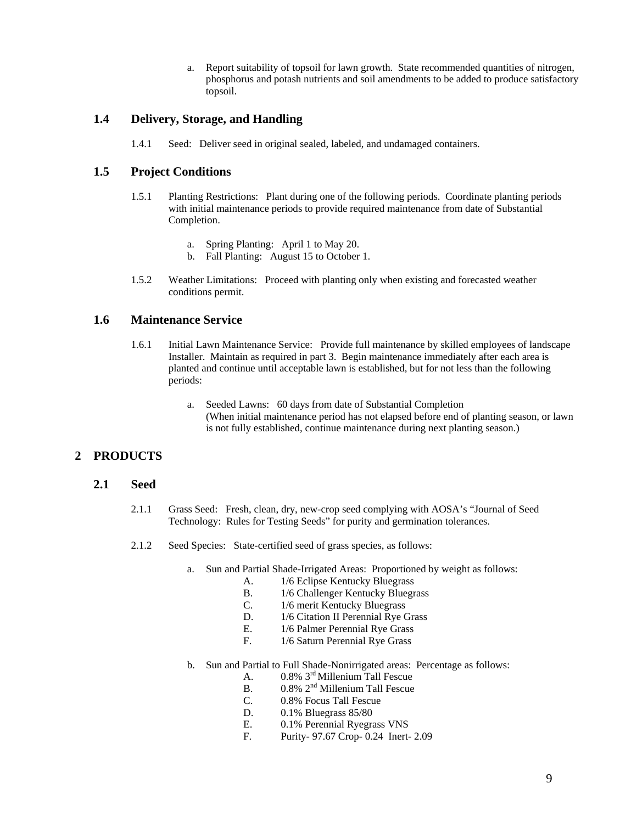a. Report suitability of topsoil for lawn growth. State recommended quantities of nitrogen, phosphorus and potash nutrients and soil amendments to be added to produce satisfactory topsoil.

#### **1.4 Delivery, Storage, and Handling**

1.4.1 Seed: Deliver seed in original sealed, labeled, and undamaged containers.

## **1.5 Project Conditions**

- 1.5.1 Planting Restrictions: Plant during one of the following periods. Coordinate planting periods with initial maintenance periods to provide required maintenance from date of Substantial Completion.
	- a. Spring Planting: April 1 to May 20.
	- b. Fall Planting: August 15 to October 1.
- 1.5.2 Weather Limitations: Proceed with planting only when existing and forecasted weather conditions permit.

## **1.6 Maintenance Service**

- 1.6.1 Initial Lawn Maintenance Service: Provide full maintenance by skilled employees of landscape Installer. Maintain as required in part 3. Begin maintenance immediately after each area is planted and continue until acceptable lawn is established, but for not less than the following periods:
	- a. Seeded Lawns: 60 days from date of Substantial Completion (When initial maintenance period has not elapsed before end of planting season, or lawn is not fully established, continue maintenance during next planting season.)

#### **2 PRODUCTS**

#### **2.1 Seed**

- 2.1.1 Grass Seed: Fresh, clean, dry, new-crop seed complying with AOSA's "Journal of Seed Technology: Rules for Testing Seeds" for purity and germination tolerances.
- 2.1.2 Seed Species: State-certified seed of grass species, as follows:
	- a. Sun and Partial Shade-Irrigated Areas: Proportioned by weight as follows:
		- A. 1/6 Eclipse Kentucky Bluegrass
		- B. 1/6 Challenger Kentucky Bluegrass
		- C. 1/6 merit Kentucky Bluegrass
		- D. 1/6 Citation II Perennial Rye Grass
		- E. 1/6 Palmer Perennial Rye Grass
		- F. 1/6 Saturn Perennial Rye Grass
	- b. Sun and Partial to Full Shade-Nonirrigated areas: Percentage as follows:
		- A. 0.8% 3rd Millenium Tall Fescue
		- B.  $0.8\%$   $2^{nd}$  Millenium Tall Fescue
		- C. 0.8% Focus Tall Fescue
		- D. 0.1% Bluegrass 85/80
		- E. 0.1% Perennial Ryegrass VNS
		- F. Purity- 97.67 Crop- 0.24 Inert- 2.09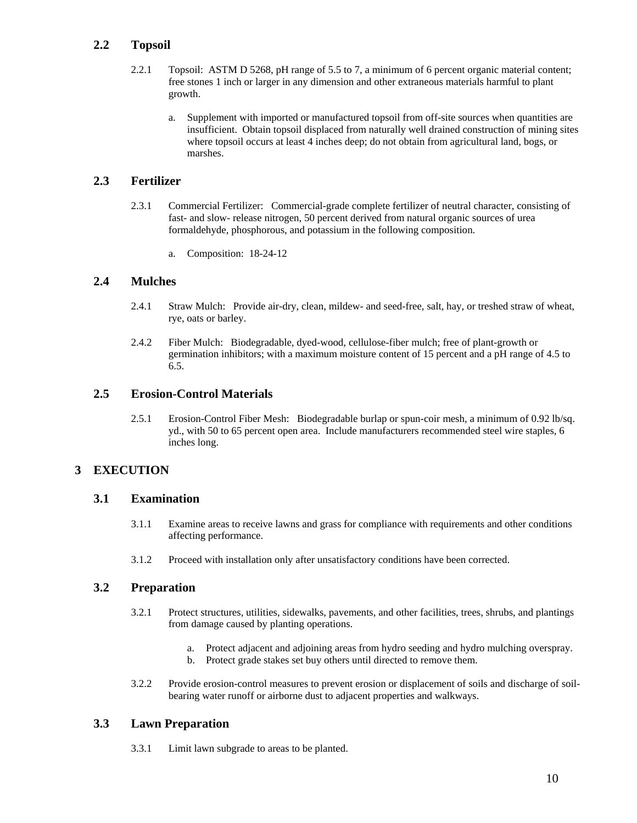# **2.2 Topsoil**

- 2.2.1 Topsoil: ASTM D 5268, pH range of 5.5 to 7, a minimum of 6 percent organic material content; free stones 1 inch or larger in any dimension and other extraneous materials harmful to plant growth.
	- a. Supplement with imported or manufactured topsoil from off-site sources when quantities are insufficient. Obtain topsoil displaced from naturally well drained construction of mining sites where topsoil occurs at least 4 inches deep; do not obtain from agricultural land, bogs, or marshes.

# **2.3 Fertilizer**

- 2.3.1 Commercial Fertilizer: Commercial-grade complete fertilizer of neutral character, consisting of fast- and slow- release nitrogen, 50 percent derived from natural organic sources of urea formaldehyde, phosphorous, and potassium in the following composition.
	- a. Composition: 18-24-12

## **2.4 Mulches**

- 2.4.1 Straw Mulch: Provide air-dry, clean, mildew- and seed-free, salt, hay, or treshed straw of wheat, rye, oats or barley.
- 2.4.2 Fiber Mulch: Biodegradable, dyed-wood, cellulose-fiber mulch; free of plant-growth or germination inhibitors; with a maximum moisture content of 15 percent and a pH range of 4.5 to 6.5.

## **2.5 Erosion-Control Materials**

2.5.1 Erosion-Control Fiber Mesh: Biodegradable burlap or spun-coir mesh, a minimum of 0.92 lb/sq. yd., with 50 to 65 percent open area. Include manufacturers recommended steel wire staples, 6 inches long.

# **3 EXECUTION**

#### **3.1 Examination**

- 3.1.1 Examine areas to receive lawns and grass for compliance with requirements and other conditions affecting performance.
- 3.1.2 Proceed with installation only after unsatisfactory conditions have been corrected.

#### **3.2 Preparation**

- 3.2.1 Protect structures, utilities, sidewalks, pavements, and other facilities, trees, shrubs, and plantings from damage caused by planting operations.
	- a. Protect adjacent and adjoining areas from hydro seeding and hydro mulching overspray.
	- b. Protect grade stakes set buy others until directed to remove them.
- 3.2.2 Provide erosion-control measures to prevent erosion or displacement of soils and discharge of soilbearing water runoff or airborne dust to adjacent properties and walkways.

#### **3.3 Lawn Preparation**

3.3.1 Limit lawn subgrade to areas to be planted.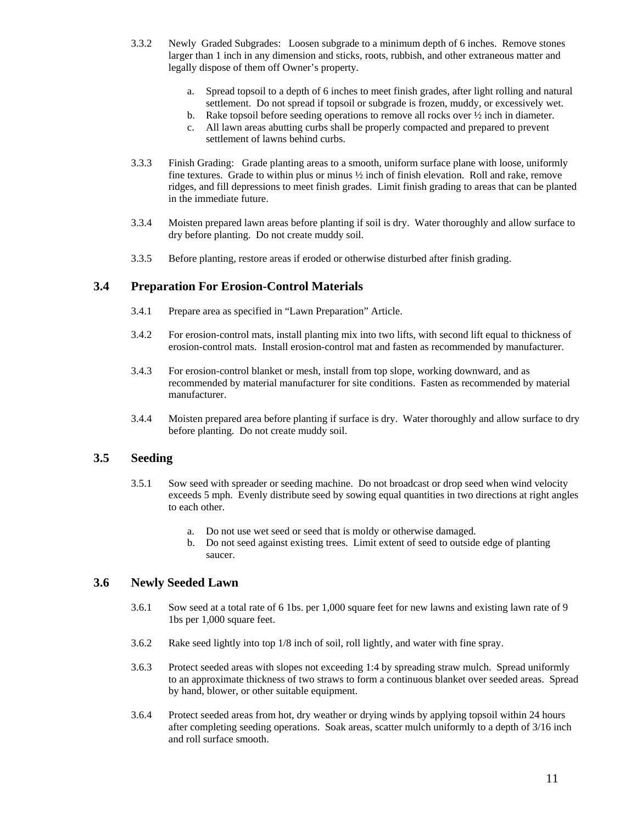- 3.3.2 Newly Graded Subgrades: Loosen subgrade to a minimum depth of 6 inches. Remove stones larger than 1 inch in any dimension and sticks, roots, rubbish, and other extraneous matter and legally dispose of them off Owner's property.
	- a. Spread topsoil to a depth of 6 inches to meet finish grades, after light rolling and natural settlement. Do not spread if topsoil or subgrade is frozen, muddy, or excessively wet.
	- b. Rake topsoil before seeding operations to remove all rocks over  $\frac{1}{2}$  inch in diameter.
	- c. All lawn areas abutting curbs shall be properly compacted and prepared to prevent settlement of lawns behind curbs.
- 3.3.3 Finish Grading: Grade planting areas to a smooth, uniform surface plane with loose, uniformly fine textures. Grade to within plus or minus ½ inch of finish elevation. Roll and rake, remove ridges, and fill depressions to meet finish grades. Limit finish grading to areas that can be planted in the immediate future.
- 3.3.4 Moisten prepared lawn areas before planting if soil is dry. Water thoroughly and allow surface to dry before planting. Do not create muddy soil.
- 3.3.5 Before planting, restore areas if eroded or otherwise disturbed after finish grading.

#### **3.4 Preparation For Erosion-Control Materials**

- 3.4.1 Prepare area as specified in "Lawn Preparation" Article.
- 3.4.2 For erosion-control mats, install planting mix into two lifts, with second lift equal to thickness of erosion-control mats. Install erosion-control mat and fasten as recommended by manufacturer.
- 3.4.3 For erosion-control blanket or mesh, install from top slope, working downward, and as recommended by material manufacturer for site conditions. Fasten as recommended by material manufacturer.
- 3.4.4 Moisten prepared area before planting if surface is dry. Water thoroughly and allow surface to dry before planting. Do not create muddy soil.

## **3.5 Seeding**

- 3.5.1 Sow seed with spreader or seeding machine. Do not broadcast or drop seed when wind velocity exceeds 5 mph. Evenly distribute seed by sowing equal quantities in two directions at right angles to each other.
	- a. Do not use wet seed or seed that is moldy or otherwise damaged.
	- b. Do not seed against existing trees. Limit extent of seed to outside edge of planting saucer.

### **3.6 Newly Seeded Lawn**

- 3.6.1 Sow seed at a total rate of 6 1bs. per 1,000 square feet for new lawns and existing lawn rate of 9 1bs per 1,000 square feet.
- 3.6.2 Rake seed lightly into top 1/8 inch of soil, roll lightly, and water with fine spray.
- 3.6.3 Protect seeded areas with slopes not exceeding 1:4 by spreading straw mulch. Spread uniformly to an approximate thickness of two straws to form a continuous blanket over seeded areas. Spread by hand, blower, or other suitable equipment.
- 3.6.4 Protect seeded areas from hot, dry weather or drying winds by applying topsoil within 24 hours after completing seeding operations. Soak areas, scatter mulch uniformly to a depth of 3/16 inch and roll surface smooth.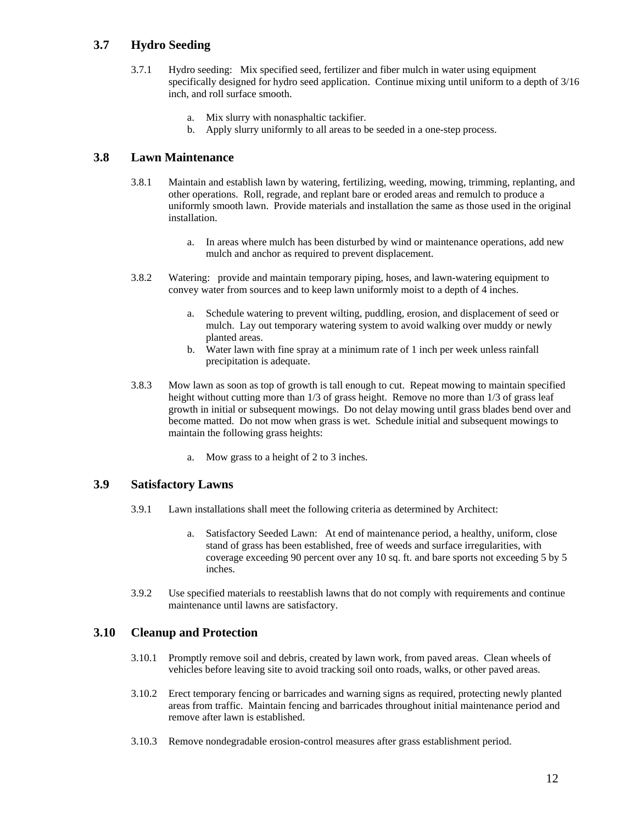# **3.7 Hydro Seeding**

- 3.7.1 Hydro seeding: Mix specified seed, fertilizer and fiber mulch in water using equipment specifically designed for hydro seed application. Continue mixing until uniform to a depth of 3/16 inch, and roll surface smooth.
	- a. Mix slurry with nonasphaltic tackifier.
	- b. Apply slurry uniformly to all areas to be seeded in a one-step process.

# **3.8 Lawn Maintenance**

- 3.8.1 Maintain and establish lawn by watering, fertilizing, weeding, mowing, trimming, replanting, and other operations. Roll, regrade, and replant bare or eroded areas and remulch to produce a uniformly smooth lawn. Provide materials and installation the same as those used in the original installation.
	- a. In areas where mulch has been disturbed by wind or maintenance operations, add new mulch and anchor as required to prevent displacement.
- 3.8.2 Watering: provide and maintain temporary piping, hoses, and lawn-watering equipment to convey water from sources and to keep lawn uniformly moist to a depth of 4 inches.
	- a. Schedule watering to prevent wilting, puddling, erosion, and displacement of seed or mulch. Lay out temporary watering system to avoid walking over muddy or newly planted areas.
	- b. Water lawn with fine spray at a minimum rate of 1 inch per week unless rainfall precipitation is adequate.
- 3.8.3 Mow lawn as soon as top of growth is tall enough to cut. Repeat mowing to maintain specified height without cutting more than 1/3 of grass height. Remove no more than 1/3 of grass leaf growth in initial or subsequent mowings. Do not delay mowing until grass blades bend over and become matted. Do not mow when grass is wet. Schedule initial and subsequent mowings to maintain the following grass heights:
	- a. Mow grass to a height of 2 to 3 inches.

#### **3.9 Satisfactory Lawns**

- 3.9.1 Lawn installations shall meet the following criteria as determined by Architect:
	- a. Satisfactory Seeded Lawn: At end of maintenance period, a healthy, uniform, close stand of grass has been established, free of weeds and surface irregularities, with coverage exceeding 90 percent over any 10 sq. ft. and bare sports not exceeding 5 by 5 inches.
- 3.9.2 Use specified materials to reestablish lawns that do not comply with requirements and continue maintenance until lawns are satisfactory.

#### **3.10 Cleanup and Protection**

- 3.10.1 Promptly remove soil and debris, created by lawn work, from paved areas. Clean wheels of vehicles before leaving site to avoid tracking soil onto roads, walks, or other paved areas.
- 3.10.2 Erect temporary fencing or barricades and warning signs as required, protecting newly planted areas from traffic. Maintain fencing and barricades throughout initial maintenance period and remove after lawn is established.
- 3.10.3 Remove nondegradable erosion-control measures after grass establishment period.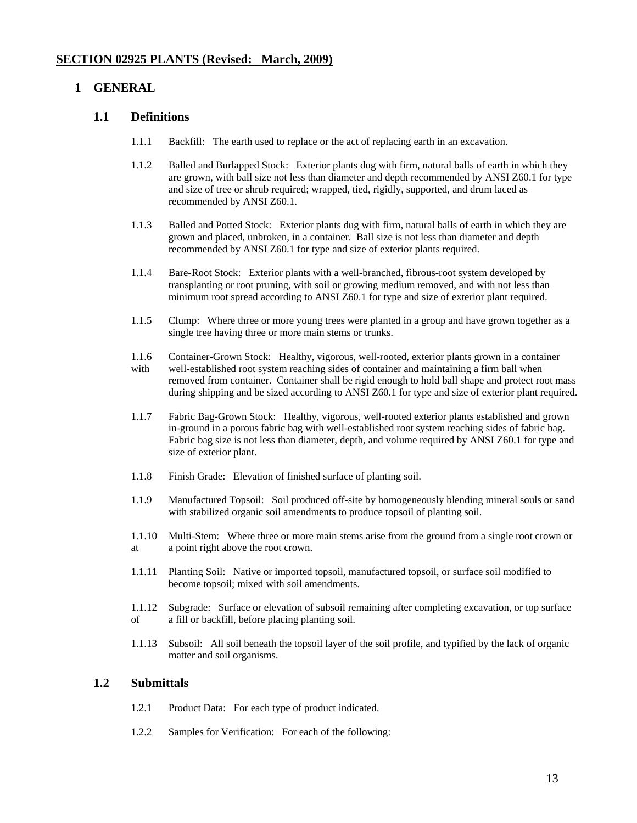#### **1 GENERAL**

#### **1.1 Definitions**

- 1.1.1 Backfill: The earth used to replace or the act of replacing earth in an excavation.
- 1.1.2 Balled and Burlapped Stock: Exterior plants dug with firm, natural balls of earth in which they are grown, with ball size not less than diameter and depth recommended by ANSI Z60.1 for type and size of tree or shrub required; wrapped, tied, rigidly, supported, and drum laced as recommended by ANSI Z60.1.
- 1.1.3 Balled and Potted Stock: Exterior plants dug with firm, natural balls of earth in which they are grown and placed, unbroken, in a container. Ball size is not less than diameter and depth recommended by ANSI Z60.1 for type and size of exterior plants required.
- 1.1.4 Bare-Root Stock: Exterior plants with a well-branched, fibrous-root system developed by transplanting or root pruning, with soil or growing medium removed, and with not less than minimum root spread according to ANSI Z60.1 for type and size of exterior plant required.
- 1.1.5 Clump: Where three or more young trees were planted in a group and have grown together as a single tree having three or more main stems or trunks.
- 1.1.6 Container-Grown Stock: Healthy, vigorous, well-rooted, exterior plants grown in a container with well-established root system reaching sides of container and maintaining a firm ball when removed from container. Container shall be rigid enough to hold ball shape and protect root mass during shipping and be sized according to ANSI Z60.1 for type and size of exterior plant required.
- 1.1.7 Fabric Bag-Grown Stock: Healthy, vigorous, well-rooted exterior plants established and grown in-ground in a porous fabric bag with well-established root system reaching sides of fabric bag. Fabric bag size is not less than diameter, depth, and volume required by ANSI Z60.1 for type and size of exterior plant.
- 1.1.8 Finish Grade: Elevation of finished surface of planting soil.
- 1.1.9 Manufactured Topsoil: Soil produced off-site by homogeneously blending mineral souls or sand with stabilized organic soil amendments to produce topsoil of planting soil.
- 1.1.10 Multi-Stem: Where three or more main stems arise from the ground from a single root crown or at a point right above the root crown.
- 1.1.11 Planting Soil: Native or imported topsoil, manufactured topsoil, or surface soil modified to become topsoil; mixed with soil amendments.
- 1.1.12 Subgrade: Surface or elevation of subsoil remaining after completing excavation, or top surface of a fill or backfill, before placing planting soil.
- 1.1.13 Subsoil: All soil beneath the topsoil layer of the soil profile, and typified by the lack of organic matter and soil organisms.

#### **1.2 Submittals**

- 1.2.1 Product Data: For each type of product indicated.
- 1.2.2 Samples for Verification: For each of the following: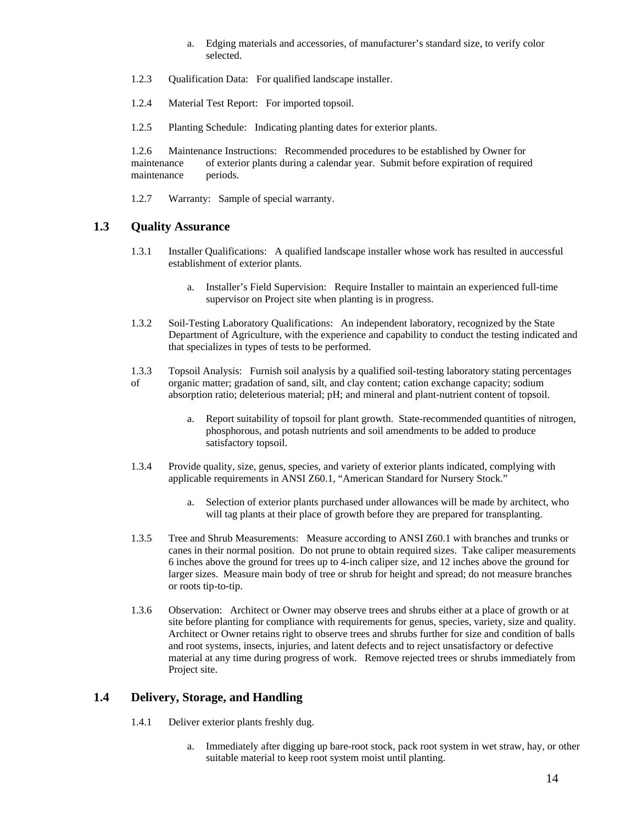- a. Edging materials and accessories, of manufacturer's standard size, to verify color selected.
- 1.2.3 Qualification Data: For qualified landscape installer.
- 1.2.4 Material Test Report: For imported topsoil.
- 1.2.5 Planting Schedule: Indicating planting dates for exterior plants.

1.2.6 Maintenance Instructions: Recommended procedures to be established by Owner for maintenance of exterior plants during a calendar year. Submit before expiration of required maintenance periods.

1.2.7 Warranty: Sample of special warranty.

## **1.3 Quality Assurance**

- 1.3.1 Installer Qualifications: A qualified landscape installer whose work has resulted in auccessful establishment of exterior plants.
	- a. Installer's Field Supervision: Require Installer to maintain an experienced full-time supervisor on Project site when planting is in progress.
- 1.3.2 Soil-Testing Laboratory Qualifications: An independent laboratory, recognized by the State Department of Agriculture, with the experience and capability to conduct the testing indicated and that specializes in types of tests to be performed.
- 1.3.3 Topsoil Analysis: Furnish soil analysis by a qualified soil-testing laboratory stating percentages of organic matter; gradation of sand, silt, and clay content; cation exchange capacity; sodium absorption ratio; deleterious material; pH; and mineral and plant-nutrient content of topsoil.
	- a. Report suitability of topsoil for plant growth. State-recommended quantities of nitrogen, phosphorous, and potash nutrients and soil amendments to be added to produce satisfactory topsoil.
- 1.3.4 Provide quality, size, genus, species, and variety of exterior plants indicated, complying with applicable requirements in ANSI Z60.1, "American Standard for Nursery Stock."
	- a. Selection of exterior plants purchased under allowances will be made by architect, who will tag plants at their place of growth before they are prepared for transplanting.
- 1.3.5 Tree and Shrub Measurements: Measure according to ANSI Z60.1 with branches and trunks or canes in their normal position. Do not prune to obtain required sizes. Take caliper measurements 6 inches above the ground for trees up to 4-inch caliper size, and 12 inches above the ground for larger sizes. Measure main body of tree or shrub for height and spread; do not measure branches or roots tip-to-tip.
- 1.3.6 Observation: Architect or Owner may observe trees and shrubs either at a place of growth or at site before planting for compliance with requirements for genus, species, variety, size and quality. Architect or Owner retains right to observe trees and shrubs further for size and condition of balls and root systems, insects, injuries, and latent defects and to reject unsatisfactory or defective material at any time during progress of work. Remove rejected trees or shrubs immediately from Project site.

# **1.4 Delivery, Storage, and Handling**

- 1.4.1 Deliver exterior plants freshly dug.
	- a. Immediately after digging up bare-root stock, pack root system in wet straw, hay, or other suitable material to keep root system moist until planting.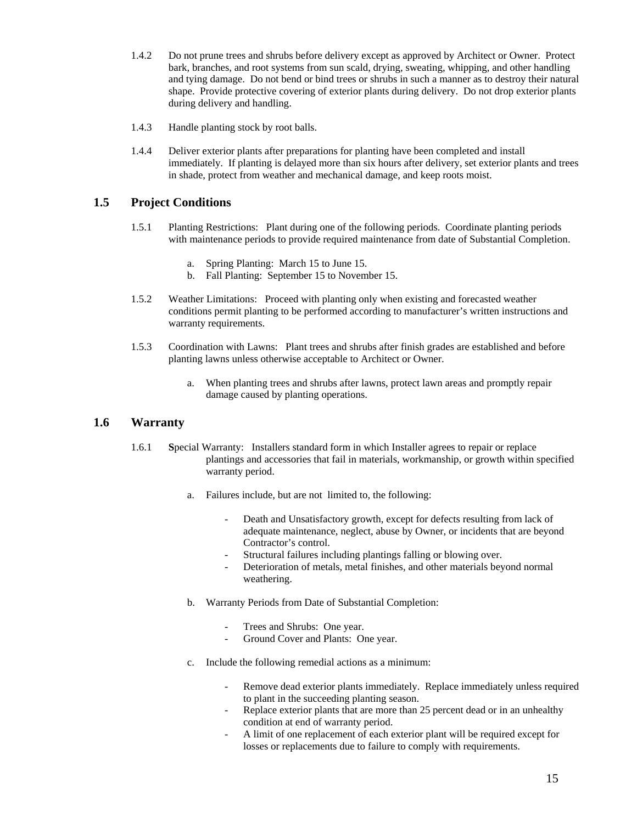- 1.4.2 Do not prune trees and shrubs before delivery except as approved by Architect or Owner. Protect bark, branches, and root systems from sun scald, drying, sweating, whipping, and other handling and tying damage. Do not bend or bind trees or shrubs in such a manner as to destroy their natural shape. Provide protective covering of exterior plants during delivery. Do not drop exterior plants during delivery and handling.
- 1.4.3 Handle planting stock by root balls.
- 1.4.4 Deliver exterior plants after preparations for planting have been completed and install immediately. If planting is delayed more than six hours after delivery, set exterior plants and trees in shade, protect from weather and mechanical damage, and keep roots moist.

## **1.5 Project Conditions**

- 1.5.1 Planting Restrictions: Plant during one of the following periods. Coordinate planting periods with maintenance periods to provide required maintenance from date of Substantial Completion.
	- a. Spring Planting: March 15 to June 15.
	- b. Fall Planting: September 15 to November 15.
- 1.5.2 Weather Limitations: Proceed with planting only when existing and forecasted weather conditions permit planting to be performed according to manufacturer's written instructions and warranty requirements.
- 1.5.3 Coordination with Lawns: Plant trees and shrubs after finish grades are established and before planting lawns unless otherwise acceptable to Architect or Owner.
	- a. When planting trees and shrubs after lawns, protect lawn areas and promptly repair damage caused by planting operations.

#### **1.6 Warranty**

- 1.6.1 **S**pecial Warranty: Installers standard form in which Installer agrees to repair or replace plantings and accessories that fail in materials, workmanship, or growth within specified warranty period.
	- a. Failures include, but are not limited to, the following:
		- Death and Unsatisfactory growth, except for defects resulting from lack of adequate maintenance, neglect, abuse by Owner, or incidents that are beyond Contractor's control.
		- Structural failures including plantings falling or blowing over.
		- Deterioration of metals, metal finishes, and other materials beyond normal weathering.
	- b. Warranty Periods from Date of Substantial Completion:
		- Trees and Shrubs: One year.
		- Ground Cover and Plants: One year.
	- c. Include the following remedial actions as a minimum:
		- Remove dead exterior plants immediately. Replace immediately unless required to plant in the succeeding planting season.
		- Replace exterior plants that are more than 25 percent dead or in an unhealthy condition at end of warranty period.
		- A limit of one replacement of each exterior plant will be required except for losses or replacements due to failure to comply with requirements.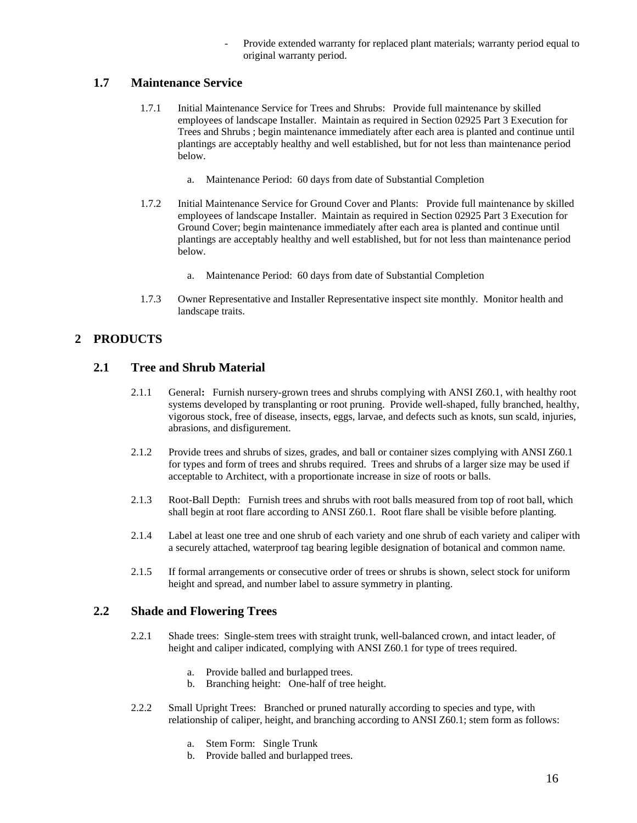Provide extended warranty for replaced plant materials; warranty period equal to original warranty period.

## **1.7 Maintenance Service**

- 1.7.1 Initial Maintenance Service for Trees and Shrubs: Provide full maintenance by skilled employees of landscape Installer. Maintain as required in Section 02925 Part 3 Execution for Trees and Shrubs ; begin maintenance immediately after each area is planted and continue until plantings are acceptably healthy and well established, but for not less than maintenance period below.
	- a. Maintenance Period: 60 days from date of Substantial Completion
- 1.7.2 Initial Maintenance Service for Ground Cover and Plants: Provide full maintenance by skilled employees of landscape Installer. Maintain as required in Section 02925 Part 3 Execution for Ground Cover; begin maintenance immediately after each area is planted and continue until plantings are acceptably healthy and well established, but for not less than maintenance period below.
	- a. Maintenance Period: 60 days from date of Substantial Completion
- 1.7.3 Owner Representative and Installer Representative inspect site monthly. Monitor health and landscape traits.

# **2 PRODUCTS**

## **2.1 Tree and Shrub Material**

- 2.1.1 General**:** Furnish nursery-grown trees and shrubs complying with ANSI Z60.1, with healthy root systems developed by transplanting or root pruning. Provide well-shaped, fully branched, healthy, vigorous stock, free of disease, insects, eggs, larvae, and defects such as knots, sun scald, injuries, abrasions, and disfigurement.
- 2.1.2 Provide trees and shrubs of sizes, grades, and ball or container sizes complying with ANSI Z60.1 for types and form of trees and shrubs required. Trees and shrubs of a larger size may be used if acceptable to Architect, with a proportionate increase in size of roots or balls.
- 2.1.3 Root-Ball Depth: Furnish trees and shrubs with root balls measured from top of root ball, which shall begin at root flare according to ANSI Z60.1. Root flare shall be visible before planting.
- 2.1.4 Label at least one tree and one shrub of each variety and one shrub of each variety and caliper with a securely attached, waterproof tag bearing legible designation of botanical and common name.
- 2.1.5 If formal arrangements or consecutive order of trees or shrubs is shown, select stock for uniform height and spread, and number label to assure symmetry in planting.

## **2.2 Shade and Flowering Trees**

- 2.2.1 Shade trees: Single-stem trees with straight trunk, well-balanced crown, and intact leader, of height and caliper indicated, complying with ANSI Z60.1 for type of trees required.
	- a. Provide balled and burlapped trees.
	- b. Branching height: One-half of tree height.
- 2.2.2 Small Upright Trees: Branched or pruned naturally according to species and type, with relationship of caliper, height, and branching according to ANSI Z60.1; stem form as follows:
	- a. Stem Form: Single Trunk
	- b. Provide balled and burlapped trees.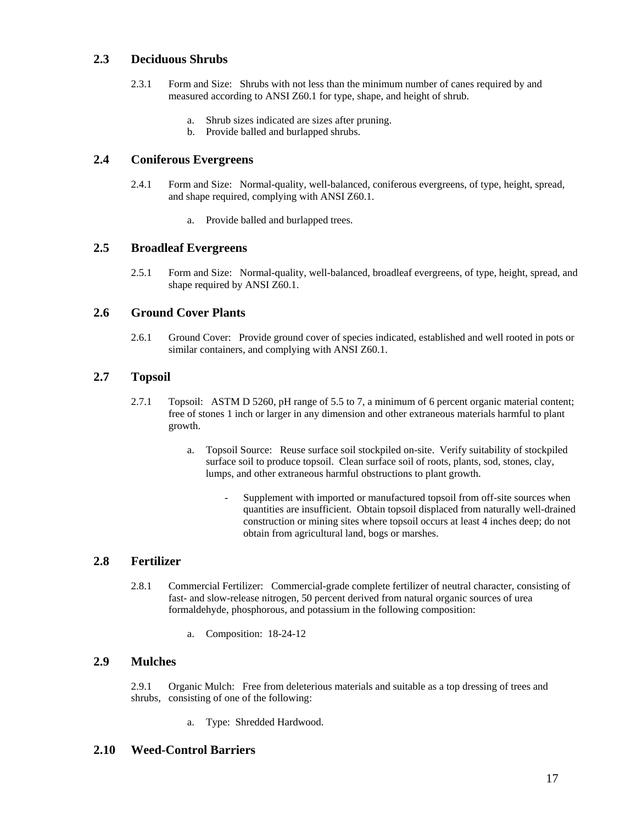## **2.3 Deciduous Shrubs**

- 2.3.1 Form and Size: Shrubs with not less than the minimum number of canes required by and measured according to ANSI Z60.1 for type, shape, and height of shrub.
	- a. Shrub sizes indicated are sizes after pruning.
	- b. Provide balled and burlapped shrubs.

#### **2.4 Coniferous Evergreens**

- 2.4.1 Form and Size: Normal-quality, well-balanced, coniferous evergreens, of type, height, spread, and shape required, complying with ANSI Z60.1.
	- a. Provide balled and burlapped trees.

#### **2.5 Broadleaf Evergreens**

2.5.1 Form and Size: Normal-quality, well-balanced, broadleaf evergreens, of type, height, spread, and shape required by ANSI Z60.1.

#### **2.6 Ground Cover Plants**

2.6.1 Ground Cover: Provide ground cover of species indicated, established and well rooted in pots or similar containers, and complying with ANSI Z60.1.

#### **2.7 Topsoil**

- 2.7.1 Topsoil: ASTM D 5260, pH range of 5.5 to 7, a minimum of 6 percent organic material content; free of stones 1 inch or larger in any dimension and other extraneous materials harmful to plant growth.
	- a. Topsoil Source: Reuse surface soil stockpiled on-site. Verify suitability of stockpiled surface soil to produce topsoil. Clean surface soil of roots, plants, sod, stones, clay, lumps, and other extraneous harmful obstructions to plant growth.
		- Supplement with imported or manufactured topsoil from off-site sources when quantities are insufficient. Obtain topsoil displaced from naturally well-drained construction or mining sites where topsoil occurs at least 4 inches deep; do not obtain from agricultural land, bogs or marshes.

## **2.8 Fertilizer**

- 2.8.1 Commercial Fertilizer: Commercial-grade complete fertilizer of neutral character, consisting of fast- and slow-release nitrogen, 50 percent derived from natural organic sources of urea formaldehyde, phosphorous, and potassium in the following composition:
	- a. Composition: 18-24-12

#### **2.9 Mulches**

2.9.1 Organic Mulch: Free from deleterious materials and suitable as a top dressing of trees and shrubs, consisting of one of the following:

a. Type: Shredded Hardwood.

#### **2.10 Weed-Control Barriers**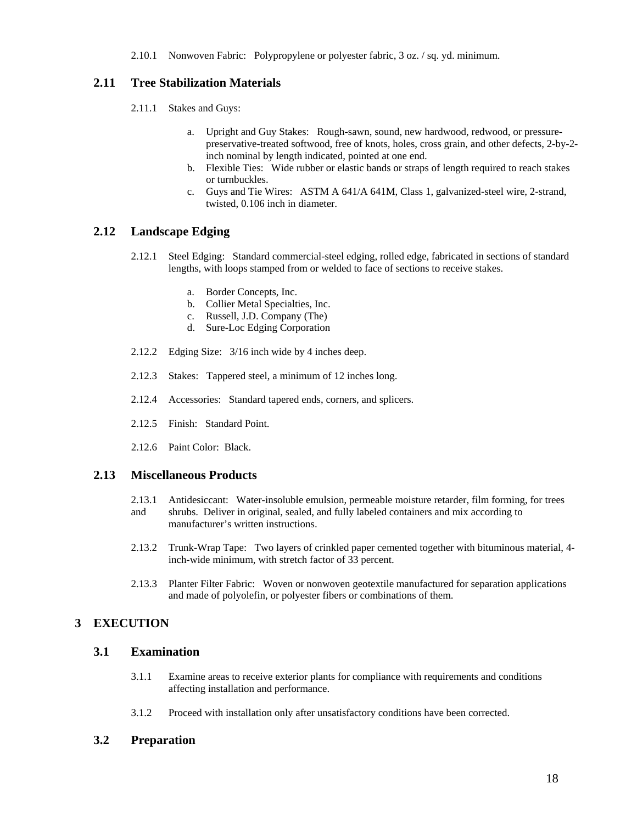2.10.1 Nonwoven Fabric: Polypropylene or polyester fabric, 3 oz. / sq. yd. minimum.

# **2.11 Tree Stabilization Materials**

- 2.11.1 Stakes and Guys:
	- a. Upright and Guy Stakes: Rough-sawn, sound, new hardwood, redwood, or pressurepreservative-treated softwood, free of knots, holes, cross grain, and other defects, 2-by-2 inch nominal by length indicated, pointed at one end.
	- b. Flexible Ties: Wide rubber or elastic bands or straps of length required to reach stakes or turnbuckles.
	- c. Guys and Tie Wires: ASTM A 641/A 641M, Class 1, galvanized-steel wire, 2-strand, twisted, 0.106 inch in diameter.

# **2.12 Landscape Edging**

- 2.12.1 Steel Edging: Standard commercial-steel edging, rolled edge, fabricated in sections of standard lengths, with loops stamped from or welded to face of sections to receive stakes.
	- a. Border Concepts, Inc.
	- b. Collier Metal Specialties, Inc.
	- c. Russell, J.D. Company (The)
	- d. Sure-Loc Edging Corporation
- 2.12.2 Edging Size: 3/16 inch wide by 4 inches deep.
- 2.12.3 Stakes: Tappered steel, a minimum of 12 inches long.
- 2.12.4 Accessories: Standard tapered ends, corners, and splicers.
- 2.12.5 Finish: Standard Point.
- 2.12.6 Paint Color: Black.

#### **2.13 Miscellaneous Products**

- 2.13.1 Antidesiccant: Water-insoluble emulsion, permeable moisture retarder, film forming, for trees and shrubs. Deliver in original, sealed, and fully labeled containers and mix according to manufacturer's written instructions.
- 2.13.2 Trunk-Wrap Tape: Two layers of crinkled paper cemented together with bituminous material, 4 inch-wide minimum, with stretch factor of 33 percent.
- 2.13.3 Planter Filter Fabric: Woven or nonwoven geotextile manufactured for separation applications and made of polyolefin, or polyester fibers or combinations of them.

# **3 EXECUTION**

## **3.1 Examination**

- 3.1.1 Examine areas to receive exterior plants for compliance with requirements and conditions affecting installation and performance.
- 3.1.2 Proceed with installation only after unsatisfactory conditions have been corrected.

#### **3.2 Preparation**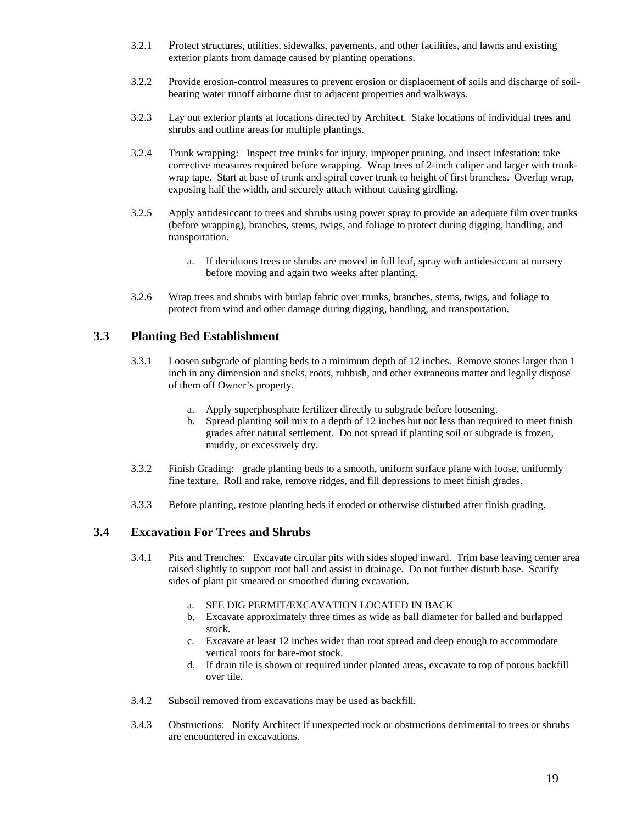- 3.2.1 Protect structures, utilities, sidewalks, pavements, and other facilities, and lawns and existing exterior plants from damage caused by planting operations.
- 3.2.2 Provide erosion-control measures to prevent erosion or displacement of soils and discharge of soilbearing water runoff airborne dust to adjacent properties and walkways.
- 3.2.3 Lay out exterior plants at locations directed by Architect. Stake locations of individual trees and shrubs and outline areas for multiple plantings.
- 3.2.4 Trunk wrapping: Inspect tree trunks for injury, improper pruning, and insect infestation; take corrective measures required before wrapping. Wrap trees of 2-inch caliper and larger with trunkwrap tape. Start at base of trunk and spiral cover trunk to height of first branches. Overlap wrap, exposing half the width, and securely attach without causing girdling.
- 3.2.5 Apply antidesiccant to trees and shrubs using power spray to provide an adequate film over trunks (before wrapping), branches, stems, twigs, and foliage to protect during digging, handling, and transportation.
	- a. If deciduous trees or shrubs are moved in full leaf, spray with antidesiccant at nursery before moving and again two weeks after planting.
- 3.2.6 Wrap trees and shrubs with burlap fabric over trunks, branches, stems, twigs, and foliage to protect from wind and other damage during digging, handling, and transportation.

#### **3.3 Planting Bed Establishment**

- 3.3.1 Loosen subgrade of planting beds to a minimum depth of 12 inches. Remove stones larger than 1 inch in any dimension and sticks, roots, rubbish, and other extraneous matter and legally dispose of them off Owner's property.
	- a. Apply superphosphate fertilizer directly to subgrade before loosening.
	- b. Spread planting soil mix to a depth of 12 inches but not less than required to meet finish grades after natural settlement. Do not spread if planting soil or subgrade is frozen, muddy, or excessively dry.
- 3.3.2 Finish Grading: grade planting beds to a smooth, uniform surface plane with loose, uniformly fine texture. Roll and rake, remove ridges, and fill depressions to meet finish grades.
- 3.3.3 Before planting, restore planting beds if eroded or otherwise disturbed after finish grading.

#### **3.4 Excavation For Trees and Shrubs**

- 3.4.1 Pits and Trenches: Excavate circular pits with sides sloped inward. Trim base leaving center area raised slightly to support root ball and assist in drainage. Do not further disturb base. Scarify sides of plant pit smeared or smoothed during excavation.
	- a. SEE DIG PERMIT/EXCAVATION LOCATED IN BACK
	- b. Excavate approximately three times as wide as ball diameter for balled and burlapped stock.
	- c. Excavate at least 12 inches wider than root spread and deep enough to accommodate vertical roots for bare-root stock.
	- d. If drain tile is shown or required under planted areas, excavate to top of porous backfill over tile.
- 3.4.2 Subsoil removed from excavations may be used as backfill.
- 3.4.3 Obstructions: Notify Architect if unexpected rock or obstructions detrimental to trees or shrubs are encountered in excavations.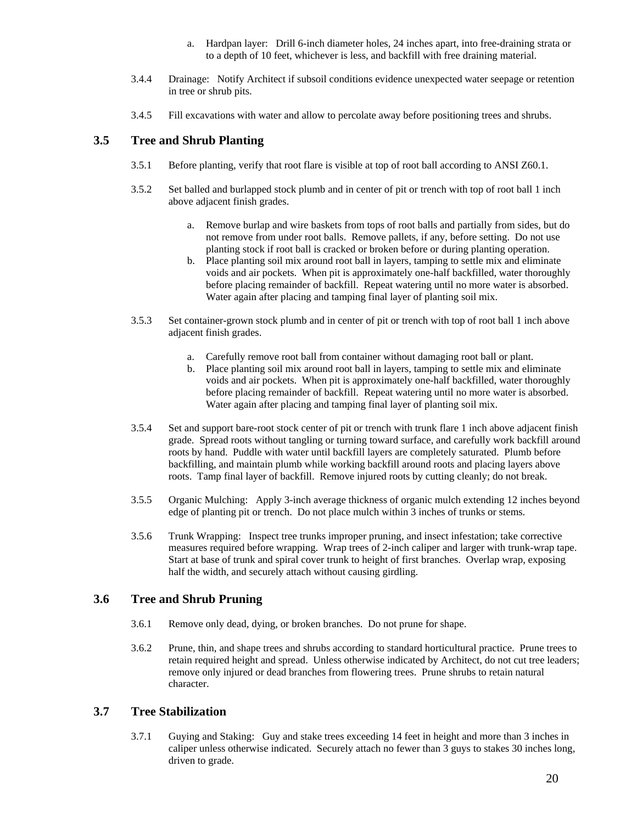- a. Hardpan layer: Drill 6-inch diameter holes, 24 inches apart, into free-draining strata or to a depth of 10 feet, whichever is less, and backfill with free draining material.
- 3.4.4 Drainage: Notify Architect if subsoil conditions evidence unexpected water seepage or retention in tree or shrub pits.
- 3.4.5 Fill excavations with water and allow to percolate away before positioning trees and shrubs.

# **3.5 Tree and Shrub Planting**

- 3.5.1 Before planting, verify that root flare is visible at top of root ball according to ANSI Z60.1.
- 3.5.2 Set balled and burlapped stock plumb and in center of pit or trench with top of root ball 1 inch above adjacent finish grades.
	- a. Remove burlap and wire baskets from tops of root balls and partially from sides, but do not remove from under root balls. Remove pallets, if any, before setting. Do not use planting stock if root ball is cracked or broken before or during planting operation.
	- b. Place planting soil mix around root ball in layers, tamping to settle mix and eliminate voids and air pockets. When pit is approximately one-half backfilled, water thoroughly before placing remainder of backfill. Repeat watering until no more water is absorbed. Water again after placing and tamping final layer of planting soil mix.
- 3.5.3 Set container-grown stock plumb and in center of pit or trench with top of root ball 1 inch above adjacent finish grades.
	- a. Carefully remove root ball from container without damaging root ball or plant.
	- b. Place planting soil mix around root ball in layers, tamping to settle mix and eliminate voids and air pockets. When pit is approximately one-half backfilled, water thoroughly before placing remainder of backfill. Repeat watering until no more water is absorbed. Water again after placing and tamping final layer of planting soil mix.
- 3.5.4 Set and support bare-root stock center of pit or trench with trunk flare 1 inch above adjacent finish grade. Spread roots without tangling or turning toward surface, and carefully work backfill around roots by hand. Puddle with water until backfill layers are completely saturated. Plumb before backfilling, and maintain plumb while working backfill around roots and placing layers above roots. Tamp final layer of backfill. Remove injured roots by cutting cleanly; do not break.
- 3.5.5 Organic Mulching: Apply 3-inch average thickness of organic mulch extending 12 inches beyond edge of planting pit or trench. Do not place mulch within 3 inches of trunks or stems.
- 3.5.6 Trunk Wrapping: Inspect tree trunks improper pruning, and insect infestation; take corrective measures required before wrapping. Wrap trees of 2-inch caliper and larger with trunk-wrap tape. Start at base of trunk and spiral cover trunk to height of first branches. Overlap wrap, exposing half the width, and securely attach without causing girdling.

# **3.6 Tree and Shrub Pruning**

- 3.6.1 Remove only dead, dying, or broken branches. Do not prune for shape.
- 3.6.2 Prune, thin, and shape trees and shrubs according to standard horticultural practice. Prune trees to retain required height and spread. Unless otherwise indicated by Architect, do not cut tree leaders; remove only injured or dead branches from flowering trees. Prune shrubs to retain natural character.

# **3.7 Tree Stabilization**

3.7.1 Guying and Staking: Guy and stake trees exceeding 14 feet in height and more than 3 inches in caliper unless otherwise indicated. Securely attach no fewer than 3 guys to stakes 30 inches long, driven to grade.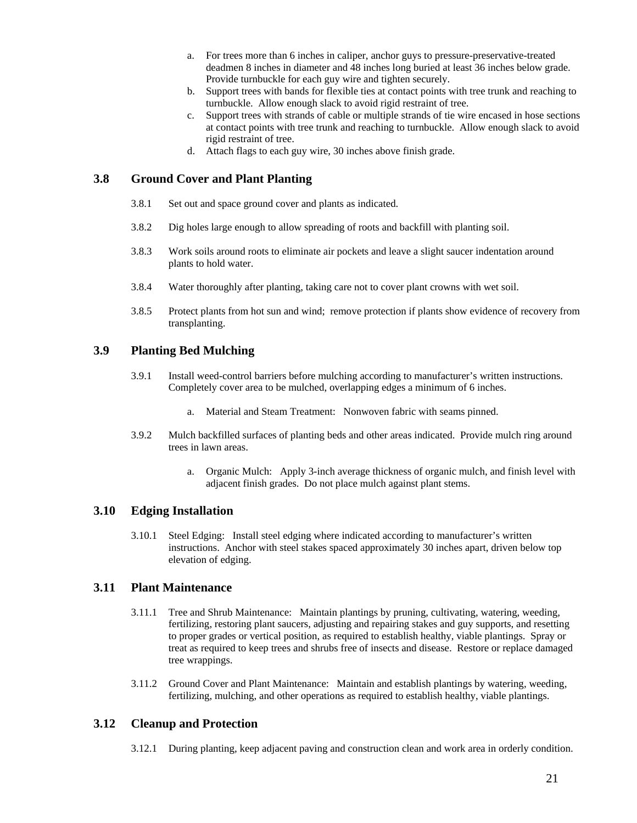- a. For trees more than 6 inches in caliper, anchor guys to pressure-preservative-treated deadmen 8 inches in diameter and 48 inches long buried at least 36 inches below grade. Provide turnbuckle for each guy wire and tighten securely.
- b. Support trees with bands for flexible ties at contact points with tree trunk and reaching to turnbuckle. Allow enough slack to avoid rigid restraint of tree.
- c. Support trees with strands of cable or multiple strands of tie wire encased in hose sections at contact points with tree trunk and reaching to turnbuckle. Allow enough slack to avoid rigid restraint of tree.
- d. Attach flags to each guy wire, 30 inches above finish grade.

#### **3.8 Ground Cover and Plant Planting**

- 3.8.1 Set out and space ground cover and plants as indicated.
- 3.8.2 Dig holes large enough to allow spreading of roots and backfill with planting soil.
- 3.8.3 Work soils around roots to eliminate air pockets and leave a slight saucer indentation around plants to hold water.
- 3.8.4 Water thoroughly after planting, taking care not to cover plant crowns with wet soil.
- 3.8.5 Protect plants from hot sun and wind; remove protection if plants show evidence of recovery from transplanting.

## **3.9 Planting Bed Mulching**

- 3.9.1 Install weed-control barriers before mulching according to manufacturer's written instructions. Completely cover area to be mulched, overlapping edges a minimum of 6 inches.
	- a. Material and Steam Treatment: Nonwoven fabric with seams pinned.
- 3.9.2 Mulch backfilled surfaces of planting beds and other areas indicated. Provide mulch ring around trees in lawn areas.
	- a. Organic Mulch: Apply 3-inch average thickness of organic mulch, and finish level with adjacent finish grades. Do not place mulch against plant stems.

#### **3.10 Edging Installation**

3.10.1 Steel Edging: Install steel edging where indicated according to manufacturer's written instructions. Anchor with steel stakes spaced approximately 30 inches apart, driven below top elevation of edging.

#### **3.11 Plant Maintenance**

- 3.11.1 Tree and Shrub Maintenance: Maintain plantings by pruning, cultivating, watering, weeding, fertilizing, restoring plant saucers, adjusting and repairing stakes and guy supports, and resetting to proper grades or vertical position, as required to establish healthy, viable plantings. Spray or treat as required to keep trees and shrubs free of insects and disease. Restore or replace damaged tree wrappings.
- 3.11.2 Ground Cover and Plant Maintenance: Maintain and establish plantings by watering, weeding, fertilizing, mulching, and other operations as required to establish healthy, viable plantings.

#### **3.12 Cleanup and Protection**

3.12.1 During planting, keep adjacent paving and construction clean and work area in orderly condition.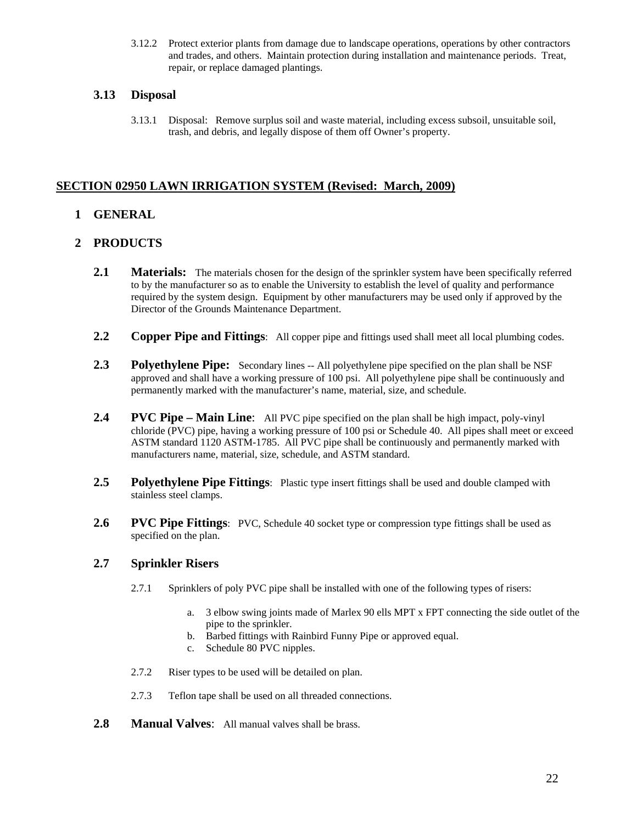3.12.2 Protect exterior plants from damage due to landscape operations, operations by other contractors and trades, and others. Maintain protection during installation and maintenance periods. Treat, repair, or replace damaged plantings.

# **3.13 Disposal**

3.13.1 Disposal: Remove surplus soil and waste material, including excess subsoil, unsuitable soil, trash, and debris, and legally dispose of them off Owner's property.

# **SECTION 02950 LAWN IRRIGATION SYSTEM (Revised: March, 2009)**

# **1 GENERAL**

# **2 PRODUCTS**

- 2.1 **Materials:** The materials chosen for the design of the sprinkler system have been specifically referred to by the manufacturer so as to enable the University to establish the level of quality and performance required by the system design. Equipment by other manufacturers may be used only if approved by the Director of the Grounds Maintenance Department.
- **2.2 Copper Pipe and Fittings**: All copper pipe and fittings used shall meet all local plumbing codes.
- **2.3 Polyethylene Pipe:** Secondary lines -- All polyethylene pipe specified on the plan shall be NSF approved and shall have a working pressure of 100 psi. All polyethylene pipe shall be continuously and permanently marked with the manufacturer's name, material, size, and schedule.
- **2.4 PVC Pipe Main Line**: All PVC pipe specified on the plan shall be high impact, poly-vinyl chloride (PVC) pipe, having a working pressure of 100 psi or Schedule 40. All pipes shall meet or exceed ASTM standard 1120 ASTM-1785. All PVC pipe shall be continuously and permanently marked with manufacturers name, material, size, schedule, and ASTM standard.
- **2.5 Polyethylene Pipe Fittings**: Plastic type insert fittings shall be used and double clamped with stainless steel clamps.
- **2.6 PVC Pipe Fittings**: PVC, Schedule 40 socket type or compression type fittings shall be used as specified on the plan.

# **2.7 Sprinkler Risers**

- 2.7.1 Sprinklers of poly PVC pipe shall be installed with one of the following types of risers:
	- a. 3 elbow swing joints made of Marlex 90 ells MPT x FPT connecting the side outlet of the pipe to the sprinkler.
	- b. Barbed fittings with Rainbird Funny Pipe or approved equal.
	- c. Schedule 80 PVC nipples.
- 2.7.2 Riser types to be used will be detailed on plan.
- 2.7.3 Teflon tape shall be used on all threaded connections.
- **2.8 Manual Valves**: All manual valves shall be brass.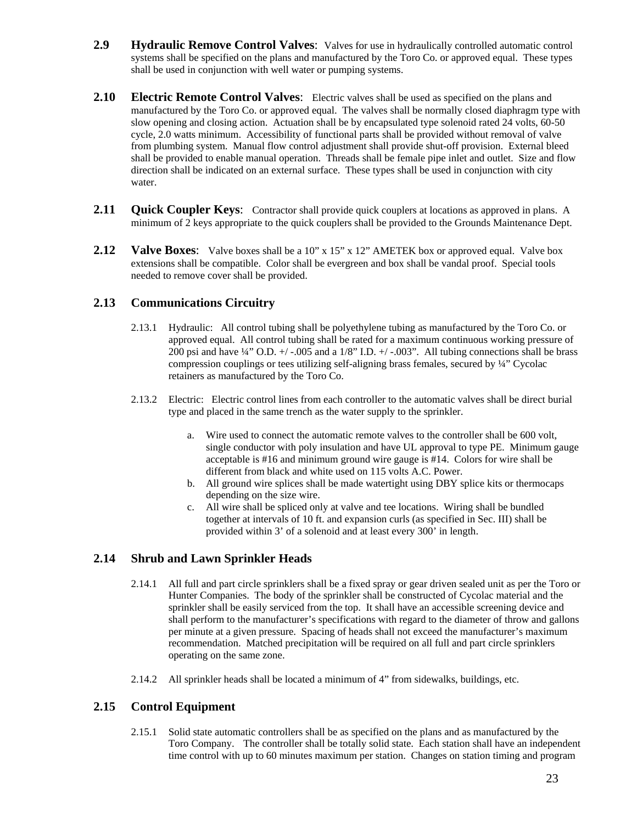- **2.9 Hydraulic Remove Control Valves**: Valves for use in hydraulically controlled automatic control systems shall be specified on the plans and manufactured by the Toro Co. or approved equal. These types shall be used in conjunction with well water or pumping systems.
- **2.10 Electric Remote Control Valves**: Electric valves shall be used as specified on the plans and manufactured by the Toro Co. or approved equal. The valves shall be normally closed diaphragm type with slow opening and closing action. Actuation shall be by encapsulated type solenoid rated 24 volts, 60-50 cycle, 2.0 watts minimum. Accessibility of functional parts shall be provided without removal of valve from plumbing system. Manual flow control adjustment shall provide shut-off provision. External bleed shall be provided to enable manual operation. Threads shall be female pipe inlet and outlet. Size and flow direction shall be indicated on an external surface. These types shall be used in conjunction with city water.
- **2.11 Quick Coupler Keys:** Contractor shall provide quick couplers at locations as approved in plans. A minimum of 2 keys appropriate to the quick couplers shall be provided to the Grounds Maintenance Dept.
- 2.12 **Valve Boxes:** Valve boxes shall be a 10" x 15" x 12" AMETEK box or approved equal. Valve box extensions shall be compatible. Color shall be evergreen and box shall be vandal proof. Special tools needed to remove cover shall be provided.

# **2.13 Communications Circuitry**

- 2.13.1 Hydraulic: All control tubing shall be polyethylene tubing as manufactured by the Toro Co. or approved equal. All control tubing shall be rated for a maximum continuous working pressure of 200 psi and have  $\frac{1}{4}$ " O.D. +/ -.005 and a 1/8" I.D. +/ -.003". All tubing connections shall be brass compression couplings or tees utilizing self-aligning brass females, secured by ¼" Cycolac retainers as manufactured by the Toro Co.
- 2.13.2 Electric: Electric control lines from each controller to the automatic valves shall be direct burial type and placed in the same trench as the water supply to the sprinkler.
	- a. Wire used to connect the automatic remote valves to the controller shall be 600 volt, single conductor with poly insulation and have UL approval to type PE. Minimum gauge acceptable is #16 and minimum ground wire gauge is #14. Colors for wire shall be different from black and white used on 115 volts A.C. Power.
	- b. All ground wire splices shall be made watertight using DBY splice kits or thermocaps depending on the size wire.
	- c. All wire shall be spliced only at valve and tee locations. Wiring shall be bundled together at intervals of 10 ft. and expansion curls (as specified in Sec. III) shall be provided within 3' of a solenoid and at least every 300' in length.

# **2.14 Shrub and Lawn Sprinkler Heads**

- 2.14.1 All full and part circle sprinklers shall be a fixed spray or gear driven sealed unit as per the Toro or Hunter Companies. The body of the sprinkler shall be constructed of Cycolac material and the sprinkler shall be easily serviced from the top. It shall have an accessible screening device and shall perform to the manufacturer's specifications with regard to the diameter of throw and gallons per minute at a given pressure. Spacing of heads shall not exceed the manufacturer's maximum recommendation. Matched precipitation will be required on all full and part circle sprinklers operating on the same zone.
- 2.14.2 All sprinkler heads shall be located a minimum of 4" from sidewalks, buildings, etc.

#### **2.15 Control Equipment**

2.15.1 Solid state automatic controllers shall be as specified on the plans and as manufactured by the Toro Company. The controller shall be totally solid state. Each station shall have an independent time control with up to 60 minutes maximum per station. Changes on station timing and program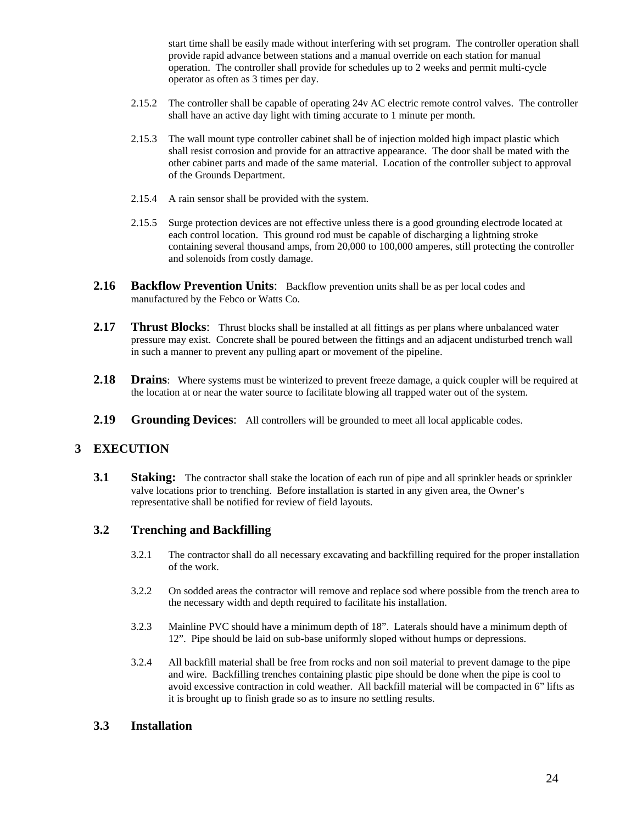start time shall be easily made without interfering with set program. The controller operation shall provide rapid advance between stations and a manual override on each station for manual operation. The controller shall provide for schedules up to 2 weeks and permit multi-cycle operator as often as 3 times per day.

- 2.15.2 The controller shall be capable of operating 24v AC electric remote control valves. The controller shall have an active day light with timing accurate to 1 minute per month.
- 2.15.3 The wall mount type controller cabinet shall be of injection molded high impact plastic which shall resist corrosion and provide for an attractive appearance. The door shall be mated with the other cabinet parts and made of the same material. Location of the controller subject to approval of the Grounds Department.
- 2.15.4 A rain sensor shall be provided with the system.
- 2.15.5 Surge protection devices are not effective unless there is a good grounding electrode located at each control location. This ground rod must be capable of discharging a lightning stroke containing several thousand amps, from 20,000 to 100,000 amperes, still protecting the controller and solenoids from costly damage.
- **2.16 Backflow Prevention Units**: Backflow prevention units shall be as per local codes and manufactured by the Febco or Watts Co.
- 2.17 **Thrust Blocks:** Thrust blocks shall be installed at all fittings as per plans where unbalanced water pressure may exist. Concrete shall be poured between the fittings and an adjacent undisturbed trench wall in such a manner to prevent any pulling apart or movement of the pipeline.
- **2.18 Drains**: Where systems must be winterized to prevent freeze damage, a quick coupler will be required at the location at or near the water source to facilitate blowing all trapped water out of the system.
- **2.19 Grounding Devices**: All controllers will be grounded to meet all local applicable codes.

# **3 EXECUTION**

**3.1 Staking:** The contractor shall stake the location of each run of pipe and all sprinkler heads or sprinkler valve locations prior to trenching. Before installation is started in any given area, the Owner's representative shall be notified for review of field layouts.

# **3.2 Trenching and Backfilling**

- 3.2.1 The contractor shall do all necessary excavating and backfilling required for the proper installation of the work.
- 3.2.2 On sodded areas the contractor will remove and replace sod where possible from the trench area to the necessary width and depth required to facilitate his installation.
- 3.2.3 Mainline PVC should have a minimum depth of 18". Laterals should have a minimum depth of 12". Pipe should be laid on sub-base uniformly sloped without humps or depressions.
- 3.2.4 All backfill material shall be free from rocks and non soil material to prevent damage to the pipe and wire. Backfilling trenches containing plastic pipe should be done when the pipe is cool to avoid excessive contraction in cold weather. All backfill material will be compacted in 6" lifts as it is brought up to finish grade so as to insure no settling results.

# **3.3 Installation**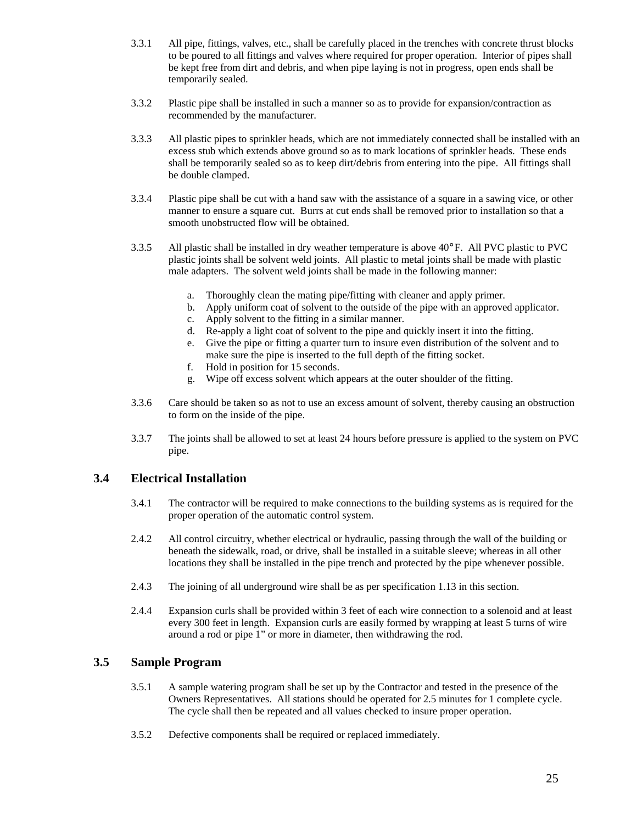- 3.3.1 All pipe, fittings, valves, etc., shall be carefully placed in the trenches with concrete thrust blocks to be poured to all fittings and valves where required for proper operation. Interior of pipes shall be kept free from dirt and debris, and when pipe laying is not in progress, open ends shall be temporarily sealed.
- 3.3.2 Plastic pipe shall be installed in such a manner so as to provide for expansion/contraction as recommended by the manufacturer.
- 3.3.3 All plastic pipes to sprinkler heads, which are not immediately connected shall be installed with an excess stub which extends above ground so as to mark locations of sprinkler heads. These ends shall be temporarily sealed so as to keep dirt/debris from entering into the pipe. All fittings shall be double clamped.
- 3.3.4 Plastic pipe shall be cut with a hand saw with the assistance of a square in a sawing vice, or other manner to ensure a square cut. Burrs at cut ends shall be removed prior to installation so that a smooth unobstructed flow will be obtained.
- 3.3.5 All plastic shall be installed in dry weather temperature is above 40°F. All PVC plastic to PVC plastic joints shall be solvent weld joints. All plastic to metal joints shall be made with plastic male adapters. The solvent weld joints shall be made in the following manner:
	- a. Thoroughly clean the mating pipe/fitting with cleaner and apply primer.
	- b. Apply uniform coat of solvent to the outside of the pipe with an approved applicator.
	- c. Apply solvent to the fitting in a similar manner.
	- d. Re-apply a light coat of solvent to the pipe and quickly insert it into the fitting.
	- e. Give the pipe or fitting a quarter turn to insure even distribution of the solvent and to make sure the pipe is inserted to the full depth of the fitting socket.
	- f. Hold in position for 15 seconds.
	- g. Wipe off excess solvent which appears at the outer shoulder of the fitting.
- 3.3.6 Care should be taken so as not to use an excess amount of solvent, thereby causing an obstruction to form on the inside of the pipe.
- 3.3.7 The joints shall be allowed to set at least 24 hours before pressure is applied to the system on PVC pipe.

#### **3.4 Electrical Installation**

- 3.4.1 The contractor will be required to make connections to the building systems as is required for the proper operation of the automatic control system.
- 2.4.2 All control circuitry, whether electrical or hydraulic, passing through the wall of the building or beneath the sidewalk, road, or drive, shall be installed in a suitable sleeve; whereas in all other locations they shall be installed in the pipe trench and protected by the pipe whenever possible.
- 2.4.3 The joining of all underground wire shall be as per specification 1.13 in this section.
- 2.4.4 Expansion curls shall be provided within 3 feet of each wire connection to a solenoid and at least every 300 feet in length. Expansion curls are easily formed by wrapping at least 5 turns of wire around a rod or pipe 1" or more in diameter, then withdrawing the rod.

#### **3.5 Sample Program**

- 3.5.1 A sample watering program shall be set up by the Contractor and tested in the presence of the Owners Representatives. All stations should be operated for 2.5 minutes for 1 complete cycle. The cycle shall then be repeated and all values checked to insure proper operation.
- 3.5.2 Defective components shall be required or replaced immediately.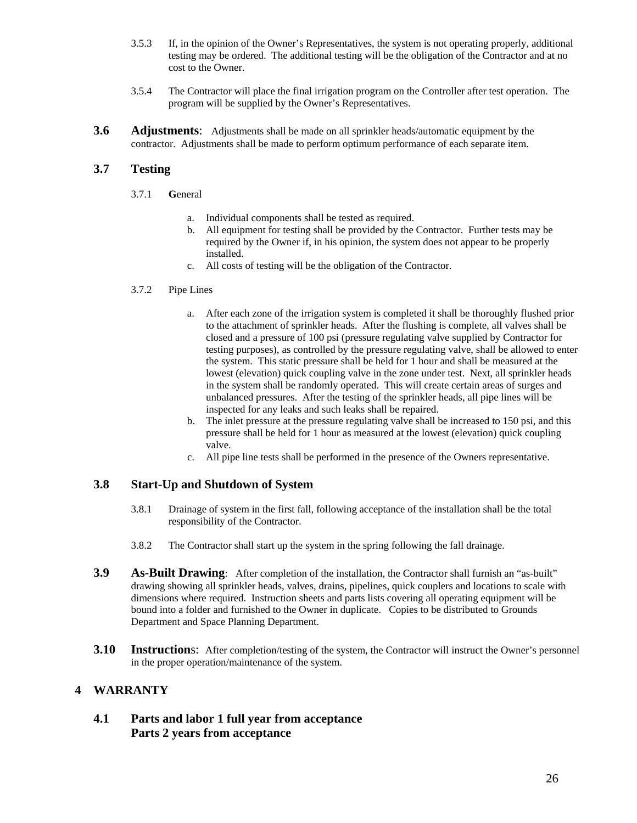- 3.5.3 If, in the opinion of the Owner's Representatives, the system is not operating properly, additional testing may be ordered. The additional testing will be the obligation of the Contractor and at no cost to the Owner.
- 3.5.4 The Contractor will place the final irrigation program on the Controller after test operation. The program will be supplied by the Owner's Representatives.
- **3.6 Adjustments**: Adjustments shall be made on all sprinkler heads/automatic equipment by the contractor. Adjustments shall be made to perform optimum performance of each separate item.

# **3.7 Testing**

- 3.7.1 **G**eneral
	- a. Individual components shall be tested as required.
	- b. All equipment for testing shall be provided by the Contractor. Further tests may be required by the Owner if, in his opinion, the system does not appear to be properly installed.
	- c. All costs of testing will be the obligation of the Contractor.

#### 3.7.2 Pipe Lines

- a. After each zone of the irrigation system is completed it shall be thoroughly flushed prior to the attachment of sprinkler heads. After the flushing is complete, all valves shall be closed and a pressure of 100 psi (pressure regulating valve supplied by Contractor for testing purposes), as controlled by the pressure regulating valve, shall be allowed to enter the system. This static pressure shall be held for 1 hour and shall be measured at the lowest (elevation) quick coupling valve in the zone under test. Next, all sprinkler heads in the system shall be randomly operated. This will create certain areas of surges and unbalanced pressures. After the testing of the sprinkler heads, all pipe lines will be inspected for any leaks and such leaks shall be repaired.
- b. The inlet pressure at the pressure regulating valve shall be increased to 150 psi, and this pressure shall be held for 1 hour as measured at the lowest (elevation) quick coupling valve.
- c. All pipe line tests shall be performed in the presence of the Owners representative.

#### **3.8 Start-Up and Shutdown of System**

- 3.8.1 Drainage of system in the first fall, following acceptance of the installation shall be the total responsibility of the Contractor.
- 3.8.2 The Contractor shall start up the system in the spring following the fall drainage.
- **3.9 As-Built Drawing**: After completion of the installation, the Contractor shall furnish an "as-built" drawing showing all sprinkler heads, valves, drains, pipelines, quick couplers and locations to scale with dimensions where required. Instruction sheets and parts lists covering all operating equipment will be bound into a folder and furnished to the Owner in duplicate. Copies to be distributed to Grounds Department and Space Planning Department.
- **3.10 Instruction**s: After completion/testing of the system, the Contractor will instruct the Owner's personnel in the proper operation/maintenance of the system.

# **4 WARRANTY**

# **4.1 Parts and labor 1 full year from acceptance Parts 2 years from acceptance**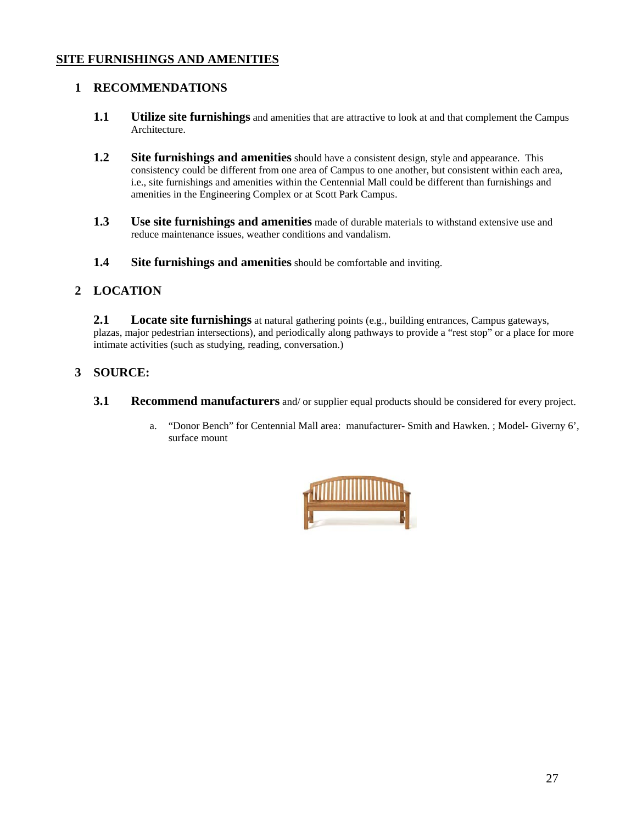# **SITE FURNISHINGS AND AMENITIES**

# **1 RECOMMENDATIONS**

- **1.1 Utilize site furnishings** and amenities that are attractive to look at and that complement the Campus Architecture.
- **1.2** Site furnishings and amenities should have a consistent design, style and appearance. This consistency could be different from one area of Campus to one another, but consistent within each area, i.e., site furnishings and amenities within the Centennial Mall could be different than furnishings and amenities in the Engineering Complex or at Scott Park Campus.
- **1.3 Use site furnishings and amenities** made of durable materials to withstand extensive use and reduce maintenance issues, weather conditions and vandalism.
- **1.4 Site furnishings and amenities** should be comfortable and inviting.

# **2 LOCATION**

**2.1 Locate site furnishings** at natural gathering points (e.g., building entrances, Campus gateways, plazas, major pedestrian intersections), and periodically along pathways to provide a "rest stop" or a place for more intimate activities (such as studying, reading, conversation.)

# **3 SOURCE:**

- **3.1 Recommend manufacturers** and/ or supplier equal products should be considered for every project.
	- a. "Donor Bench" for Centennial Mall area: manufacturer- Smith and Hawken. ; Model- Giverny 6', surface mount

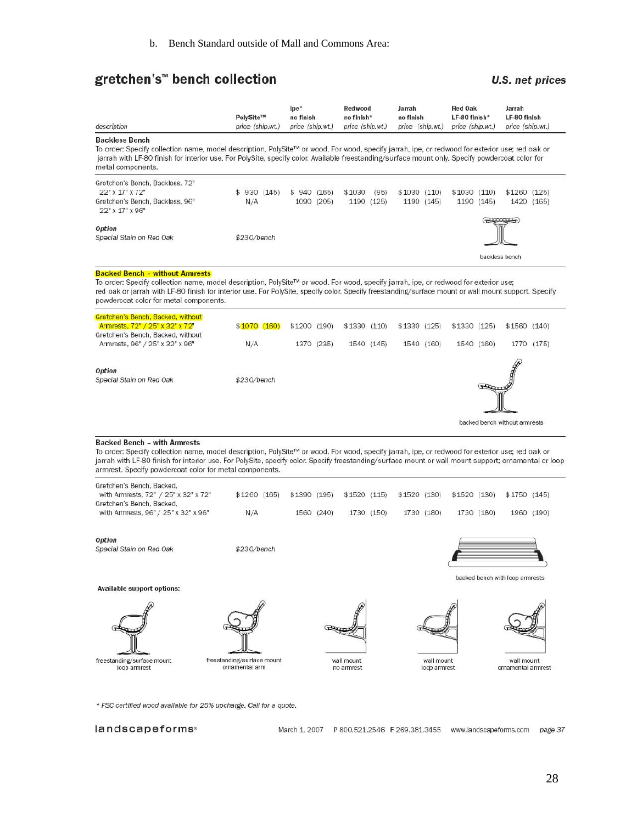# gretchen's™ bench collection

# **U.S. net prices**

| description                                                                                                                                                                                                                                                                                                                                                                                               | PolySite™<br>price (ship.wt)                 | $lpe*$<br>no finish<br>price (ship.wt.) |  | Redwood<br>no finish*<br>price (ship.wt.) |      | Jarrah<br>no finish<br>price (ship.wt.) |                            | <b>Red Oak</b><br>LF-80 finish*<br>price (ship.wt.) |            | Jarrah<br>LF-80 finish<br>price (ship.wt.) |            |
|-----------------------------------------------------------------------------------------------------------------------------------------------------------------------------------------------------------------------------------------------------------------------------------------------------------------------------------------------------------------------------------------------------------|----------------------------------------------|-----------------------------------------|--|-------------------------------------------|------|-----------------------------------------|----------------------------|-----------------------------------------------------|------------|--------------------------------------------|------------|
| <b>Backless Bench</b><br>To order: Specify collection name, model description, PolySite™ or wood. For wood, specify jarrah, ipe, or redwood for exterior use; red oak or<br>jarrah with LF-80 finish for interior use. For PolySite, specify color. Available freestanding/surface mount only. Specify powdercoat color for<br>metal components.                                                          |                                              |                                         |  |                                           |      |                                         |                            |                                                     |            |                                            |            |
| Gretchen's Bench, Backless, 72"<br>22" x 17" x 72"<br>Gretchen's Bench, Backless, 96"<br>22" x 17" x 96"                                                                                                                                                                                                                                                                                                  | \$930(145)<br>N/A                            | \$940(165)<br>1090 (205)                |  | \$1030<br>1190 (125)                      | (95) | \$1030(110)                             | 1190 (145)                 | \$1030(110)                                         | 1190 (145) | $$1260$ (125)                              | 1420 (165) |
| Option<br>Special Stain on Red Oak                                                                                                                                                                                                                                                                                                                                                                        | \$230/bench                                  |                                         |  |                                           |      |                                         |                            |                                                     |            | backless bench                             |            |
| <b>Backed Bench - without Armrests</b><br>To order: Specify collection name, model description, PolySite™ or wood. For wood, specify jarrah, ipe, or redwood for exterior use;<br>red oak or jarrah with LF-80 finish for interior use. For PolySite, specify color. Specify freestanding/surface mount or wall mount support. Specify<br>powdercoat color for metal components.                          |                                              |                                         |  |                                           |      |                                         |                            |                                                     |            |                                            |            |
| Gretchen's Bench, Backed, without<br>Armrests, 72" / 25" x 32" x 72"                                                                                                                                                                                                                                                                                                                                      | \$1070(160)                                  | \$1200 (190)                            |  | \$1330(110)                               |      | \$1330 (125)                            |                            | \$1330 (125)                                        |            | \$1560 (140)                               |            |
| Gretchen's Bench, Backed, without<br>Armrests, 96" / 25" x 32" x 96"                                                                                                                                                                                                                                                                                                                                      | N/A                                          | 1370 (235)                              |  | 1540 (145)                                |      | 1540 (160)                              |                            | 1540 (160)                                          |            |                                            | 1770 (175) |
| Option<br>Special Stain on Red Oak                                                                                                                                                                                                                                                                                                                                                                        | \$230/bench                                  |                                         |  |                                           |      |                                         |                            |                                                     |            | backed bench without armrests              |            |
| <b>Backed Bench - with Armrests</b><br>To order: Specify collection name, model description, PolySite™ or wood. For wood, specify jarrah, ipe, or redwood for exterior use; red oak or<br>jarrah with LF-80 finish for interior use. For PolySite, specify color. Specify freestanding/surface mount or wall mount support; ornamental or loop<br>armrest. Specify powdercoat color for metal components. |                                              |                                         |  |                                           |      |                                         |                            |                                                     |            |                                            |            |
| Gretchen's Bench, Backed,<br>with Armrests, 72" / 25" x 32" x 72"<br>Gretchen's Bench, Backed,<br>with Armrests, 96" / 25" x 32" x 96"                                                                                                                                                                                                                                                                    | \$1260 (165)                                 | \$1390 (195)                            |  | \$1520(115)                               |      | \$1520 (130)                            |                            | \$1520 (130)                                        |            | \$1750 (145)                               |            |
|                                                                                                                                                                                                                                                                                                                                                                                                           | N/A                                          | 1560 (240)                              |  | 1730 (150)                                |      |                                         | 1730 (180)                 | 1730 (180)                                          |            |                                            | 1960 (190) |
| Option<br>Special Stain on Red Oak                                                                                                                                                                                                                                                                                                                                                                        | \$230/bench                                  |                                         |  |                                           |      |                                         |                            |                                                     |            | backed bench with loop armrests            |            |
| Available support options:                                                                                                                                                                                                                                                                                                                                                                                |                                              |                                         |  |                                           |      |                                         |                            |                                                     |            |                                            |            |
| freestanding/surface mount<br>loop armrest                                                                                                                                                                                                                                                                                                                                                                | freestanding/surface mount<br>ornamental arm |                                         |  | wall mount<br>no armrest                  |      |                                         | wall mount<br>loop armrest |                                                     |            | wall mount<br>ornamental armrest           |            |
| * FSC certified wood available for 25% upcharge. Call for a quote.                                                                                                                                                                                                                                                                                                                                        |                                              |                                         |  |                                           |      |                                         |                            |                                                     |            |                                            |            |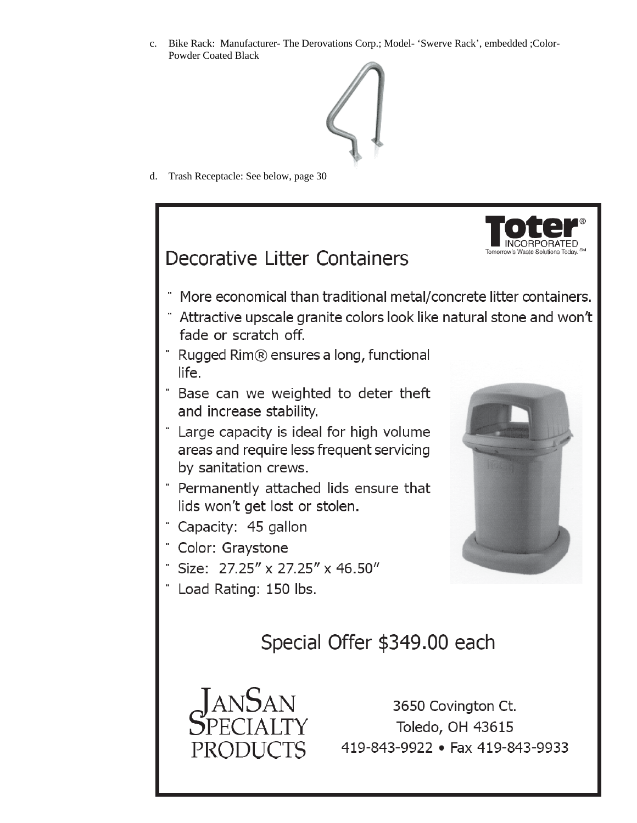c. Bike Rack: Manufacturer- The Derovations Corp.; Model- 'Swerve Rack', embedded ;Color-Powder Coated Black



d. Trash Receptacle: See below, page 30



29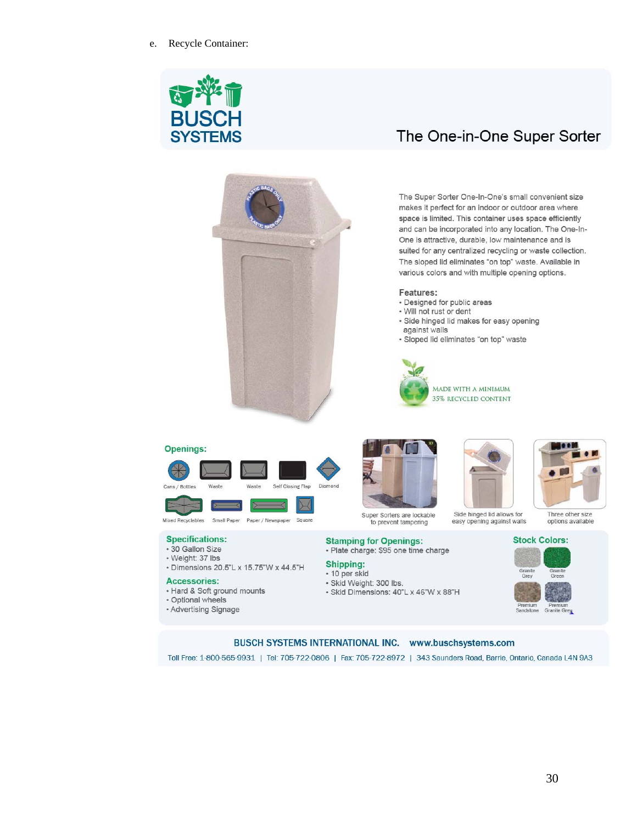



# The One-in-One Super Sorter

The Super Sorter One-In-One's small convenient size makes it perfect for an indoor or outdoor area where space is limited. This container uses space efficiently and can be incorporated into any location. The One-In-One is attractive, durable, low maintenance and is suited for any centralized recycling or waste collection. The sloped lid eliminates "on top" waste. Available in various colors and with multiple opening options.

#### Features:

- · Designed for public areas
- · Will not rust or dent
- · Side hinged lid makes for easy opening against walls
- · Sloped lid eliminates "on top" waste



#### Openings:





Small Paper Paper / Newspaper Square **Mixed Recyclables** 

#### **Specifications:**

- 30 Gallon Size
- · Weight: 37 lbs
- Dimensions 20.5"L x 15.75"W x 44.5"H

#### **Accessories:**

- Hard & Soft ground mounts
- · Optional wheels
- Advertising Signage









options available

#### **Stamping for Openings:**

· Plate charge: \$95 one time charge

#### Shipping:

#### - 10 per skid

- · Skid Weight: 300 lbs.
- · Skid Dimensions: 40"L x 46"W x 88"H



#### BUSCH SYSTEMS INTERNATIONAL INC. www.buschsystems.com

Toll Free: 1-800-565-9931 | Tel: 705-722-0806 | Fax: 705-722-8972 | 343 Saunders Road, Barrie, Ontario, Canada L4N 9A3